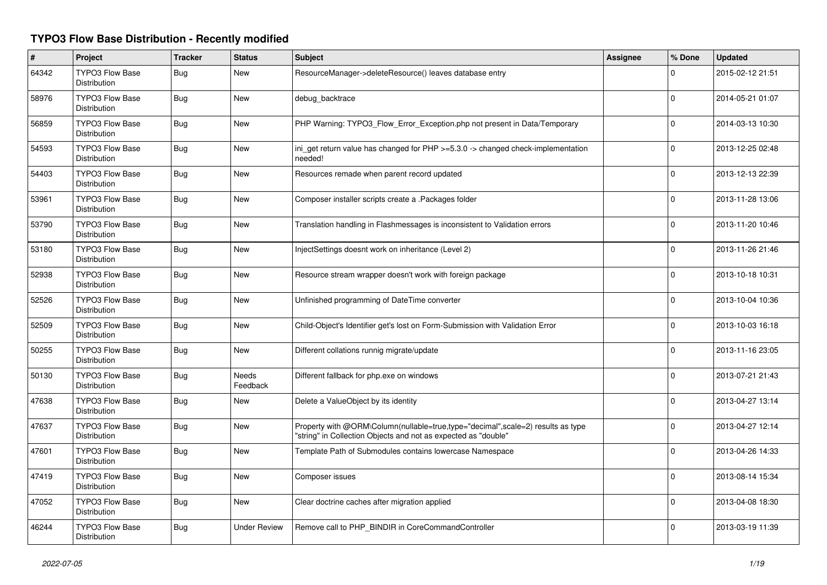## **TYPO3 Flow Base Distribution - Recently modified**

| $\pmb{\sharp}$ | Project                                       | <b>Tracker</b> | <b>Status</b>       | <b>Subject</b>                                                                                                                                    | Assignee | % Done      | <b>Updated</b>   |
|----------------|-----------------------------------------------|----------------|---------------------|---------------------------------------------------------------------------------------------------------------------------------------------------|----------|-------------|------------------|
| 64342          | <b>TYPO3 Flow Base</b><br><b>Distribution</b> | Bug            | <b>New</b>          | ResourceManager->deleteResource() leaves database entry                                                                                           |          | $\Omega$    | 2015-02-12 21:51 |
| 58976          | <b>TYPO3 Flow Base</b><br>Distribution        | Bug            | <b>New</b>          | debug_backtrace                                                                                                                                   |          | $\Omega$    | 2014-05-21 01:07 |
| 56859          | <b>TYPO3 Flow Base</b><br><b>Distribution</b> | <b>Bug</b>     | <b>New</b>          | PHP Warning: TYPO3_Flow_Error_Exception.php not present in Data/Temporary                                                                         |          | $\Omega$    | 2014-03-13 10:30 |
| 54593          | <b>TYPO3 Flow Base</b><br><b>Distribution</b> | <b>Bug</b>     | <b>New</b>          | ini_get return value has changed for PHP >=5.3.0 -> changed check-implementation<br>needed!                                                       |          | $\Omega$    | 2013-12-25 02:48 |
| 54403          | <b>TYPO3 Flow Base</b><br>Distribution        | <b>Bug</b>     | <b>New</b>          | Resources remade when parent record updated                                                                                                       |          | $\Omega$    | 2013-12-13 22:39 |
| 53961          | <b>TYPO3 Flow Base</b><br>Distribution        | <b>Bug</b>     | <b>New</b>          | Composer installer scripts create a .Packages folder                                                                                              |          | $\mathbf 0$ | 2013-11-28 13:06 |
| 53790          | <b>TYPO3 Flow Base</b><br>Distribution        | <b>Bug</b>     | <b>New</b>          | Translation handling in Flashmessages is inconsistent to Validation errors                                                                        |          | 0           | 2013-11-20 10:46 |
| 53180          | TYPO3 Flow Base<br>Distribution               | Bug            | New                 | InjectSettings doesnt work on inheritance (Level 2)                                                                                               |          | $\Omega$    | 2013-11-26 21:46 |
| 52938          | <b>TYPO3 Flow Base</b><br>Distribution        | Bug            | New                 | Resource stream wrapper doesn't work with foreign package                                                                                         |          | $\Omega$    | 2013-10-18 10:31 |
| 52526          | <b>TYPO3 Flow Base</b><br>Distribution        | Bug            | New                 | Unfinished programming of DateTime converter                                                                                                      |          | $\Omega$    | 2013-10-04 10:36 |
| 52509          | <b>TYPO3 Flow Base</b><br><b>Distribution</b> | Bug            | New                 | Child-Object's Identifier get's lost on Form-Submission with Validation Error                                                                     |          | $\mathbf 0$ | 2013-10-03 16:18 |
| 50255          | TYPO3 Flow Base<br><b>Distribution</b>        | Bug            | New                 | Different collations runnig migrate/update                                                                                                        |          | $\mathbf 0$ | 2013-11-16 23:05 |
| 50130          | <b>TYPO3 Flow Base</b><br>Distribution        | <b>Bug</b>     | Needs<br>Feedback   | Different fallback for php.exe on windows                                                                                                         |          | 0           | 2013-07-21 21:43 |
| 47638          | TYPO3 Flow Base<br><b>Distribution</b>        | Bug            | New                 | Delete a ValueObject by its identity                                                                                                              |          | $\Omega$    | 2013-04-27 13:14 |
| 47637          | <b>TYPO3 Flow Base</b><br>Distribution        | Bug            | New                 | Property with @ORM\Column(nullable=true,type="decimal",scale=2) results as type<br>"string" in Collection Objects and not as expected as "double" |          | $\Omega$    | 2013-04-27 12:14 |
| 47601          | TYPO3 Flow Base<br><b>Distribution</b>        | <b>Bug</b>     | New                 | Template Path of Submodules contains lowercase Namespace                                                                                          |          | $\Omega$    | 2013-04-26 14:33 |
| 47419          | <b>TYPO3 Flow Base</b><br><b>Distribution</b> | <b>Bug</b>     | <b>New</b>          | Composer issues                                                                                                                                   |          | $\Omega$    | 2013-08-14 15:34 |
| 47052          | TYPO3 Flow Base<br>Distribution               | Bug            | <b>New</b>          | Clear doctrine caches after migration applied                                                                                                     |          | $\Omega$    | 2013-04-08 18:30 |
| 46244          | <b>TYPO3 Flow Base</b><br>Distribution        | <b>Bug</b>     | <b>Under Review</b> | Remove call to PHP_BINDIR in CoreCommandController                                                                                                |          | $\Omega$    | 2013-03-19 11:39 |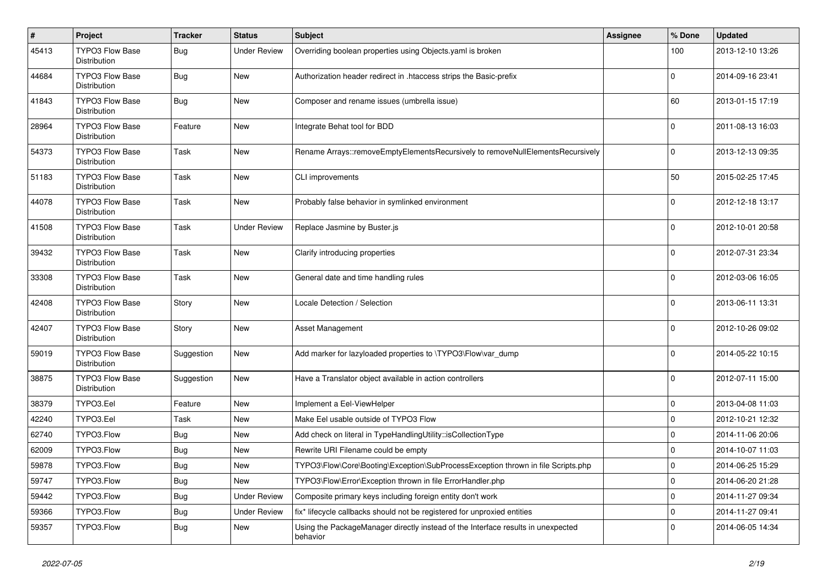| #     | Project                                       | <b>Tracker</b> | <b>Status</b>       | Subject                                                                                      | <b>Assignee</b> | % Done      | <b>Updated</b>   |
|-------|-----------------------------------------------|----------------|---------------------|----------------------------------------------------------------------------------------------|-----------------|-------------|------------------|
| 45413 | TYPO3 Flow Base<br>Distribution               | <b>Bug</b>     | <b>Under Review</b> | Overriding boolean properties using Objects.yaml is broken                                   |                 | 100         | 2013-12-10 13:26 |
| 44684 | <b>TYPO3 Flow Base</b><br>Distribution        | Bug            | New                 | Authorization header redirect in .htaccess strips the Basic-prefix                           |                 | 0           | 2014-09-16 23:41 |
| 41843 | TYPO3 Flow Base<br>Distribution               | Bug            | <b>New</b>          | Composer and rename issues (umbrella issue)                                                  |                 | 60          | 2013-01-15 17:19 |
| 28964 | <b>TYPO3 Flow Base</b><br>Distribution        | Feature        | <b>New</b>          | Integrate Behat tool for BDD                                                                 |                 | $\mathbf 0$ | 2011-08-13 16:03 |
| 54373 | TYPO3 Flow Base<br><b>Distribution</b>        | Task           | <b>New</b>          | Rename Arrays::removeEmptyElementsRecursively to removeNullElementsRecursively               |                 | 0           | 2013-12-13 09:35 |
| 51183 | <b>TYPO3 Flow Base</b><br><b>Distribution</b> | Task           | <b>New</b>          | CLI improvements                                                                             |                 | 50          | 2015-02-25 17:45 |
| 44078 | TYPO3 Flow Base<br>Distribution               | Task           | <b>New</b>          | Probably false behavior in symlinked environment                                             |                 | 0           | 2012-12-18 13:17 |
| 41508 | <b>TYPO3 Flow Base</b><br>Distribution        | Task           | <b>Under Review</b> | Replace Jasmine by Buster.js                                                                 |                 | 0           | 2012-10-01 20:58 |
| 39432 | <b>TYPO3 Flow Base</b><br>Distribution        | Task           | <b>New</b>          | Clarify introducing properties                                                               |                 | 0           | 2012-07-31 23:34 |
| 33308 | <b>TYPO3 Flow Base</b><br>Distribution        | Task           | <b>New</b>          | General date and time handling rules                                                         |                 | 0           | 2012-03-06 16:05 |
| 42408 | <b>TYPO3 Flow Base</b><br>Distribution        | Story          | <b>New</b>          | Locale Detection / Selection                                                                 |                 | $\Omega$    | 2013-06-11 13:31 |
| 42407 | <b>TYPO3 Flow Base</b><br><b>Distribution</b> | Story          | <b>New</b>          | Asset Management                                                                             |                 | $\Omega$    | 2012-10-26 09:02 |
| 59019 | <b>TYPO3 Flow Base</b><br>Distribution        | Suggestion     | <b>New</b>          | Add marker for lazyloaded properties to \TYPO3\Flow\var_dump                                 |                 | 0           | 2014-05-22 10:15 |
| 38875 | TYPO3 Flow Base<br>Distribution               | Suggestion     | <b>New</b>          | Have a Translator object available in action controllers                                     |                 | 0           | 2012-07-11 15:00 |
| 38379 | TYPO3.Eel                                     | Feature        | <b>New</b>          | Implement a Eel-ViewHelper                                                                   |                 | 0           | 2013-04-08 11:03 |
| 42240 | TYPO3.Eel                                     | Task           | <b>New</b>          | Make Eel usable outside of TYPO3 Flow                                                        |                 | $\mathbf 0$ | 2012-10-21 12:32 |
| 62740 | TYPO3.Flow                                    | Bug            | <b>New</b>          | Add check on literal in TypeHandlingUtility::isCollectionType                                |                 | 0           | 2014-11-06 20:06 |
| 62009 | TYPO3.Flow                                    | <b>Bug</b>     | <b>New</b>          | Rewrite URI Filename could be empty                                                          |                 | $\mathbf 0$ | 2014-10-07 11:03 |
| 59878 | TYPO3.Flow                                    | Bug            | New                 | TYPO3\Flow\Core\Booting\Exception\SubProcessException thrown in file Scripts.php             |                 | 0           | 2014-06-25 15:29 |
| 59747 | TYPO3.Flow                                    | <b>Bug</b>     | New                 | TYPO3\Flow\Error\Exception thrown in file ErrorHandler.php                                   |                 | 0           | 2014-06-20 21:28 |
| 59442 | TYPO3.Flow                                    | Bug            | <b>Under Review</b> | Composite primary keys including foreign entity don't work                                   |                 | 0           | 2014-11-27 09:34 |
| 59366 | TYPO3.Flow                                    | <b>Bug</b>     | <b>Under Review</b> | fix* lifecycle callbacks should not be registered for unproxied entities                     |                 | 0           | 2014-11-27 09:41 |
| 59357 | TYPO3.Flow                                    | Bug            | New                 | Using the PackageManager directly instead of the Interface results in unexpected<br>behavior |                 | 0           | 2014-06-05 14:34 |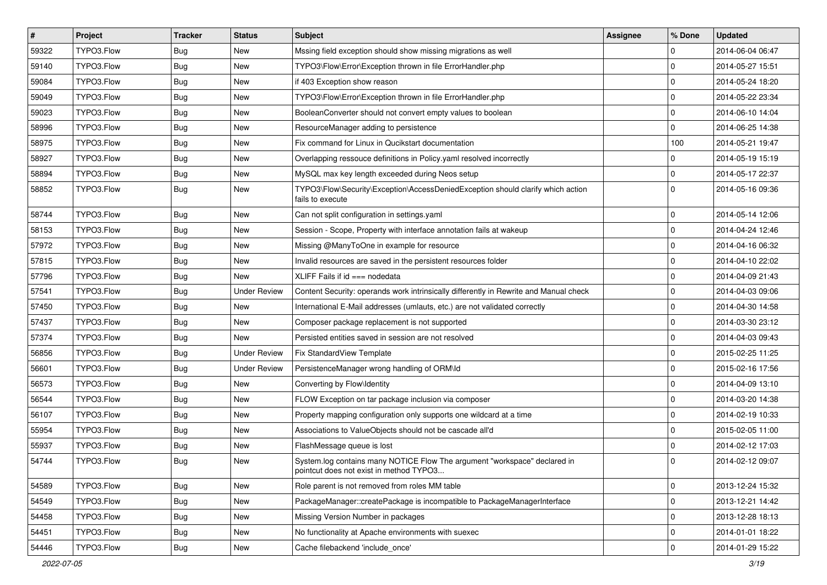| $\vert$ # | Project    | <b>Tracker</b> | <b>Status</b>       | <b>Subject</b>                                                                                                       | <b>Assignee</b> | % Done      | <b>Updated</b>   |
|-----------|------------|----------------|---------------------|----------------------------------------------------------------------------------------------------------------------|-----------------|-------------|------------------|
| 59322     | TYPO3.Flow | <b>Bug</b>     | New                 | Mssing field exception should show missing migrations as well                                                        |                 | $\mathbf 0$ | 2014-06-04 06:47 |
| 59140     | TYPO3.Flow | Bug            | New                 | TYPO3\Flow\Error\Exception thrown in file ErrorHandler.php                                                           |                 | $\mathbf 0$ | 2014-05-27 15:51 |
| 59084     | TYPO3.Flow | Bug            | New                 | if 403 Exception show reason                                                                                         |                 | $\mathbf 0$ | 2014-05-24 18:20 |
| 59049     | TYPO3.Flow | <b>Bug</b>     | New                 | TYPO3\Flow\Error\Exception thrown in file ErrorHandler.php                                                           |                 | $\mathbf 0$ | 2014-05-22 23:34 |
| 59023     | TYPO3.Flow | <b>Bug</b>     | <b>New</b>          | BooleanConverter should not convert empty values to boolean                                                          |                 | $\mathbf 0$ | 2014-06-10 14:04 |
| 58996     | TYPO3.Flow | <b>Bug</b>     | New                 | ResourceManager adding to persistence                                                                                |                 | $\mathbf 0$ | 2014-06-25 14:38 |
| 58975     | TYPO3.Flow | <b>Bug</b>     | New                 | Fix command for Linux in Qucikstart documentation                                                                    |                 | 100         | 2014-05-21 19:47 |
| 58927     | TYPO3.Flow | Bug            | New                 | Overlapping ressouce definitions in Policy yaml resolved incorrectly                                                 |                 | $\mathbf 0$ | 2014-05-19 15:19 |
| 58894     | TYPO3.Flow | Bug            | New                 | MySQL max key length exceeded during Neos setup                                                                      |                 | $\mathbf 0$ | 2014-05-17 22:37 |
| 58852     | TYPO3.Flow | <b>Bug</b>     | New                 | TYPO3\Flow\Security\Exception\AccessDeniedException should clarify which action<br>fails to execute                  |                 | $\Omega$    | 2014-05-16 09:36 |
| 58744     | TYPO3.Flow | <b>Bug</b>     | <b>New</b>          | Can not split configuration in settings.yaml                                                                         |                 | $\mathbf 0$ | 2014-05-14 12:06 |
| 58153     | TYPO3.Flow | Bug            | <b>New</b>          | Session - Scope, Property with interface annotation fails at wakeup                                                  |                 | $\mathbf 0$ | 2014-04-24 12:46 |
| 57972     | TYPO3.Flow | <b>Bug</b>     | New                 | Missing @ManyToOne in example for resource                                                                           |                 | $\mathbf 0$ | 2014-04-16 06:32 |
| 57815     | TYPO3.Flow | <b>Bug</b>     | New                 | Invalid resources are saved in the persistent resources folder                                                       |                 | $\mathbf 0$ | 2014-04-10 22:02 |
| 57796     | TYPO3.Flow | <b>Bug</b>     | New                 | XLIFF Fails if $id == node$ nodedata                                                                                 |                 | 0           | 2014-04-09 21:43 |
| 57541     | TYPO3.Flow | <b>Bug</b>     | <b>Under Review</b> | Content Security: operands work intrinsically differently in Rewrite and Manual check                                |                 | $\mathbf 0$ | 2014-04-03 09:06 |
| 57450     | TYPO3.Flow | Bug            | New                 | International E-Mail addresses (umlauts, etc.) are not validated correctly                                           |                 | $\mathbf 0$ | 2014-04-30 14:58 |
| 57437     | TYPO3.Flow | <b>Bug</b>     | New                 | Composer package replacement is not supported                                                                        |                 | $\mathbf 0$ | 2014-03-30 23:12 |
| 57374     | TYPO3.Flow | <b>Bug</b>     | New                 | Persisted entities saved in session are not resolved                                                                 |                 | $\mathbf 0$ | 2014-04-03 09:43 |
| 56856     | TYPO3.Flow | <b>Bug</b>     | <b>Under Review</b> | Fix StandardView Template                                                                                            |                 | $\mathbf 0$ | 2015-02-25 11:25 |
| 56601     | TYPO3.Flow | Bug            | <b>Under Review</b> | PersistenceManager wrong handling of ORM\ld                                                                          |                 | $\Omega$    | 2015-02-16 17:56 |
| 56573     | TYPO3.Flow | <b>Bug</b>     | New                 | Converting by Flow\Identity                                                                                          |                 | $\mathbf 0$ | 2014-04-09 13:10 |
| 56544     | TYPO3.Flow | Bug            | New                 | FLOW Exception on tar package inclusion via composer                                                                 |                 | $\mathbf 0$ | 2014-03-20 14:38 |
| 56107     | TYPO3.Flow | <b>Bug</b>     | New                 | Property mapping configuration only supports one wildcard at a time                                                  |                 | $\mathbf 0$ | 2014-02-19 10:33 |
| 55954     | TYPO3.Flow | Bug            | New                 | Associations to ValueObjects should not be cascade all'd                                                             |                 | $\mathbf 0$ | 2015-02-05 11:00 |
| 55937     | TYPO3.Flow | <b>Bug</b>     | New                 | FlashMessage queue is lost                                                                                           |                 | $\mathbf 0$ | 2014-02-12 17:03 |
| 54744     | TYPO3.Flow | <b>Bug</b>     | New                 | System.log contains many NOTICE Flow The argument "workspace" declared in<br>pointcut does not exist in method TYPO3 |                 | $\mathbf 0$ | 2014-02-12 09:07 |
| 54589     | TYPO3.Flow | Bug            | New                 | Role parent is not removed from roles MM table                                                                       |                 | $\pmb{0}$   | 2013-12-24 15:32 |
| 54549     | TYPO3.Flow | <b>Bug</b>     | New                 | PackageManager::createPackage is incompatible to PackageManagerInterface                                             |                 | $\mathbf 0$ | 2013-12-21 14:42 |
| 54458     | TYPO3.Flow | <b>Bug</b>     | New                 | Missing Version Number in packages                                                                                   |                 | $\mathsf 0$ | 2013-12-28 18:13 |
| 54451     | TYPO3.Flow | <b>Bug</b>     | New                 | No functionality at Apache environments with suexec                                                                  |                 | $\mathbf 0$ | 2014-01-01 18:22 |
| 54446     | TYPO3.Flow | <b>Bug</b>     | New                 | Cache filebackend 'include once'                                                                                     |                 | $\mathsf 0$ | 2014-01-29 15:22 |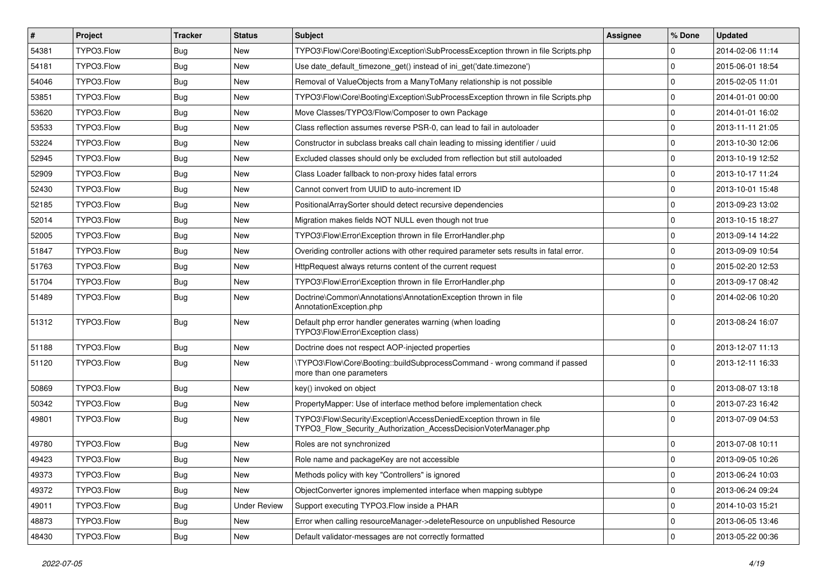| $\vert$ # | Project    | <b>Tracker</b> | <b>Status</b>       | <b>Subject</b>                                                                                                                         | Assignee | % Done              | <b>Updated</b>   |
|-----------|------------|----------------|---------------------|----------------------------------------------------------------------------------------------------------------------------------------|----------|---------------------|------------------|
| 54381     | TYPO3.Flow | <b>Bug</b>     | New                 | TYPO3\Flow\Core\Booting\Exception\SubProcessException thrown in file Scripts.php                                                       |          | 0                   | 2014-02-06 11:14 |
| 54181     | TYPO3.Flow | Bug            | <b>New</b>          | Use date_default_timezone_get() instead of ini_get('date.timezone')                                                                    |          | $\mathbf 0$         | 2015-06-01 18:54 |
| 54046     | TYPO3.Flow | <b>Bug</b>     | New                 | Removal of ValueObjects from a ManyToMany relationship is not possible                                                                 |          | 0                   | 2015-02-05 11:01 |
| 53851     | TYPO3.Flow | <b>Bug</b>     | New                 | TYPO3\Flow\Core\Booting\Exception\SubProcessException thrown in file Scripts.php                                                       |          | 0                   | 2014-01-01 00:00 |
| 53620     | TYPO3.Flow | Bug            | New                 | Move Classes/TYPO3/Flow/Composer to own Package                                                                                        |          | 0                   | 2014-01-01 16:02 |
| 53533     | TYPO3.Flow | <b>Bug</b>     | New                 | Class reflection assumes reverse PSR-0, can lead to fail in autoloader                                                                 |          | $\mathbf 0$         | 2013-11-11 21:05 |
| 53224     | TYPO3.Flow | <b>Bug</b>     | New                 | Constructor in subclass breaks call chain leading to missing identifier / uuid                                                         |          | 0                   | 2013-10-30 12:06 |
| 52945     | TYPO3.Flow | <b>Bug</b>     | New                 | Excluded classes should only be excluded from reflection but still autoloaded                                                          |          | $\mathbf 0$         | 2013-10-19 12:52 |
| 52909     | TYPO3.Flow | Bug            | <b>New</b>          | Class Loader fallback to non-proxy hides fatal errors                                                                                  |          | $\mathbf 0$         | 2013-10-17 11:24 |
| 52430     | TYPO3.Flow | Bug            | New                 | Cannot convert from UUID to auto-increment ID                                                                                          |          | $\mathbf 0$         | 2013-10-01 15:48 |
| 52185     | TYPO3.Flow | Bug            | New                 | PositionalArraySorter should detect recursive dependencies                                                                             |          | 0                   | 2013-09-23 13:02 |
| 52014     | TYPO3.Flow | <b>Bug</b>     | New                 | Migration makes fields NOT NULL even though not true                                                                                   |          | 0                   | 2013-10-15 18:27 |
| 52005     | TYPO3.Flow | Bug            | <b>New</b>          | TYPO3\Flow\Error\Exception thrown in file ErrorHandler.php                                                                             |          | $\mathbf 0$         | 2013-09-14 14:22 |
| 51847     | TYPO3.Flow | <b>Bug</b>     | New                 | Overiding controller actions with other required parameter sets results in fatal error.                                                |          | 0                   | 2013-09-09 10:54 |
| 51763     | TYPO3.Flow | Bug            | <b>New</b>          | HttpRequest always returns content of the current request                                                                              |          | $\mathbf 0$         | 2015-02-20 12:53 |
| 51704     | TYPO3.Flow | <b>Bug</b>     | New                 | TYPO3\Flow\Error\Exception thrown in file ErrorHandler.php                                                                             |          | $\mathbf 0$         | 2013-09-17 08:42 |
| 51489     | TYPO3.Flow | <b>Bug</b>     | New                 | Doctrine\Common\Annotations\AnnotationException thrown in file<br>AnnotationException.php                                              |          | $\Omega$            | 2014-02-06 10:20 |
| 51312     | TYPO3.Flow | <b>Bug</b>     | <b>New</b>          | Default php error handler generates warning (when loading<br>TYPO3\Flow\Error\Exception class)                                         |          | 0                   | 2013-08-24 16:07 |
| 51188     | TYPO3.Flow | <b>Bug</b>     | <b>New</b>          | Doctrine does not respect AOP-injected properties                                                                                      |          | $\mathbf 0$         | 2013-12-07 11:13 |
| 51120     | TYPO3.Flow | <b>Bug</b>     | New                 | \TYPO3\Flow\Core\Booting::buildSubprocessCommand - wrong command if passed<br>more than one parameters                                 |          | $\Omega$            | 2013-12-11 16:33 |
| 50869     | TYPO3.Flow | Bug            | <b>New</b>          | key() invoked on object                                                                                                                |          | 0                   | 2013-08-07 13:18 |
| 50342     | TYPO3.Flow | <b>Bug</b>     | <b>New</b>          | PropertyMapper: Use of interface method before implementation check                                                                    |          | 0                   | 2013-07-23 16:42 |
| 49801     | TYPO3.Flow | <b>Bug</b>     | New                 | TYPO3\Flow\Security\Exception\AccessDeniedException thrown in file<br>TYPO3_Flow_Security_Authorization_AccessDecisionVoterManager.php |          | $\Omega$            | 2013-07-09 04:53 |
| 49780     | TYPO3.Flow | <b>Bug</b>     | <b>New</b>          | Roles are not synchronized                                                                                                             |          | 0                   | 2013-07-08 10:11 |
| 49423     | TYPO3.Flow | <b>Bug</b>     | New                 | Role name and packageKey are not accessible                                                                                            |          | 0                   | 2013-09-05 10:26 |
| 49373     | TYPO3.Flow | <b>Bug</b>     | New                 | Methods policy with key "Controllers" is ignored                                                                                       |          | $\mathbf 0$         | 2013-06-24 10:03 |
| 49372     | TYPO3.Flow | <b>Bug</b>     | New                 | ObjectConverter ignores implemented interface when mapping subtype                                                                     |          | $\mathbf 0$         | 2013-06-24 09:24 |
| 49011     | TYPO3.Flow | <b>Bug</b>     | <b>Under Review</b> | Support executing TYPO3. Flow inside a PHAR                                                                                            |          | 0                   | 2014-10-03 15:21 |
| 48873     | TYPO3.Flow | Bug            | New                 | Error when calling resourceManager->deleteResource on unpublished Resource                                                             |          | 0                   | 2013-06-05 13:46 |
| 48430     | TYPO3.Flow | <b>Bug</b>     | New                 | Default validator-messages are not correctly formatted                                                                                 |          | $\mathsf{O}\xspace$ | 2013-05-22 00:36 |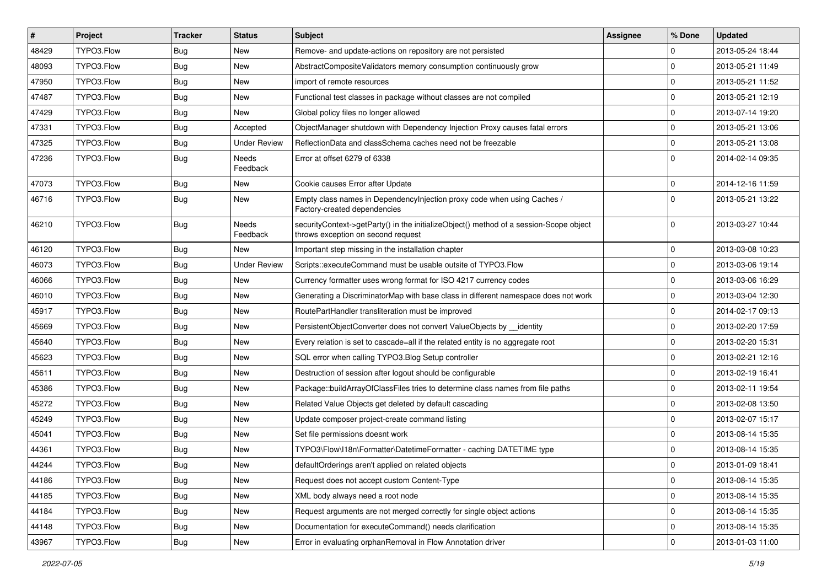| $\vert$ # | Project    | <b>Tracker</b> | <b>Status</b>            | <b>Subject</b>                                                                                                               | <b>Assignee</b> | % Done      | <b>Updated</b>   |
|-----------|------------|----------------|--------------------------|------------------------------------------------------------------------------------------------------------------------------|-----------------|-------------|------------------|
| 48429     | TYPO3.Flow | Bug            | New                      | Remove- and update-actions on repository are not persisted                                                                   |                 | 0           | 2013-05-24 18:44 |
| 48093     | TYPO3.Flow | Bug            | <b>New</b>               | AbstractCompositeValidators memory consumption continuously grow                                                             |                 | $\Omega$    | 2013-05-21 11:49 |
| 47950     | TYPO3.Flow | Bug            | New                      | import of remote resources                                                                                                   |                 | $\mathbf 0$ | 2013-05-21 11:52 |
| 47487     | TYPO3.Flow | Bug            | New                      | Functional test classes in package without classes are not compiled                                                          |                 | $\mathbf 0$ | 2013-05-21 12:19 |
| 47429     | TYPO3.Flow | Bug            | New                      | Global policy files no longer allowed                                                                                        |                 | $\mathbf 0$ | 2013-07-14 19:20 |
| 47331     | TYPO3.Flow | Bug            | Accepted                 | ObjectManager shutdown with Dependency Injection Proxy causes fatal errors                                                   |                 | $\mathbf 0$ | 2013-05-21 13:06 |
| 47325     | TYPO3.Flow | Bug            | Under Review             | ReflectionData and classSchema caches need not be freezable                                                                  |                 | $\mathbf 0$ | 2013-05-21 13:08 |
| 47236     | TYPO3.Flow | Bug            | Needs<br>Feedback        | Error at offset 6279 of 6338                                                                                                 |                 | $\Omega$    | 2014-02-14 09:35 |
| 47073     | TYPO3.Flow | Bug            | <b>New</b>               | Cookie causes Error after Update                                                                                             |                 | $\mathbf 0$ | 2014-12-16 11:59 |
| 46716     | TYPO3.Flow | Bug            | New                      | Empty class names in Dependencylnjection proxy code when using Caches /<br>Factory-created dependencies                      |                 | $\Omega$    | 2013-05-21 13:22 |
| 46210     | TYPO3.Flow | Bug            | <b>Needs</b><br>Feedback | securityContext->getParty() in the initializeObject() method of a session-Scope object<br>throws exception on second request |                 | $\Omega$    | 2013-03-27 10:44 |
| 46120     | TYPO3.Flow | Bug            | New                      | Important step missing in the installation chapter                                                                           |                 | $\mathbf 0$ | 2013-03-08 10:23 |
| 46073     | TYPO3.Flow | Bug            | <b>Under Review</b>      | Scripts::executeCommand must be usable outsite of TYPO3.Flow                                                                 |                 | $\mathbf 0$ | 2013-03-06 19:14 |
| 46066     | TYPO3.Flow | Bug            | New                      | Currency formatter uses wrong format for ISO 4217 currency codes                                                             |                 | $\mathbf 0$ | 2013-03-06 16:29 |
| 46010     | TYPO3.Flow | Bug            | New                      | Generating a DiscriminatorMap with base class in different namespace does not work                                           |                 | $\mathbf 0$ | 2013-03-04 12:30 |
| 45917     | TYPO3.Flow | Bug            | New                      | RoutePartHandler transliteration must be improved                                                                            |                 | $\mathbf 0$ | 2014-02-17 09:13 |
| 45669     | TYPO3.Flow | Bug            | New                      | PersistentObjectConverter does not convert ValueObjects by identity                                                          |                 | $\mathbf 0$ | 2013-02-20 17:59 |
| 45640     | TYPO3.Flow | Bug            | New                      | Every relation is set to cascade=all if the related entity is no aggregate root                                              |                 | 0           | 2013-02-20 15:31 |
| 45623     | TYPO3.Flow | Bug            | New                      | SQL error when calling TYPO3. Blog Setup controller                                                                          |                 | $\mathbf 0$ | 2013-02-21 12:16 |
| 45611     | TYPO3.Flow | Bug            | New                      | Destruction of session after logout should be configurable                                                                   |                 | $\mathbf 0$ | 2013-02-19 16:41 |
| 45386     | TYPO3.Flow | Bug            | New                      | Package::buildArrayOfClassFiles tries to determine class names from file paths                                               |                 | 0           | 2013-02-11 19:54 |
| 45272     | TYPO3.Flow | Bug            | New                      | Related Value Objects get deleted by default cascading                                                                       |                 | $\mathbf 0$ | 2013-02-08 13:50 |
| 45249     | TYPO3.Flow | Bug            | New                      | Update composer project-create command listing                                                                               |                 | $\mathbf 0$ | 2013-02-07 15:17 |
| 45041     | TYPO3.Flow | Bug            | New                      | Set file permissions doesnt work                                                                                             |                 | $\Omega$    | 2013-08-14 15:35 |
| 44361     | TYPO3.Flow | Bug            | New                      | TYPO3\Flow\I18n\Formatter\DatetimeFormatter - caching DATETIME type                                                          |                 | $\mathbf 0$ | 2013-08-14 15:35 |
| 44244     | TYPO3.Flow | Bug            | New                      | defaultOrderings aren't applied on related objects                                                                           |                 | 0           | 2013-01-09 18:41 |
| 44186     | TYPO3.Flow | <b>Bug</b>     | New                      | Request does not accept custom Content-Type                                                                                  |                 | $\mathbf 0$ | 2013-08-14 15:35 |
| 44185     | TYPO3.Flow | Bug            | New                      | XML body always need a root node                                                                                             |                 | $\mathbf 0$ | 2013-08-14 15:35 |
| 44184     | TYPO3.Flow | Bug            | New                      | Request arguments are not merged correctly for single object actions                                                         |                 | $\mathbf 0$ | 2013-08-14 15:35 |
| 44148     | TYPO3.Flow | Bug            | New                      | Documentation for executeCommand() needs clarification                                                                       |                 | $\mathbf 0$ | 2013-08-14 15:35 |
| 43967     | TYPO3.Flow | Bug            | New                      | Error in evaluating orphanRemoval in Flow Annotation driver                                                                  |                 | $\mathbf 0$ | 2013-01-03 11:00 |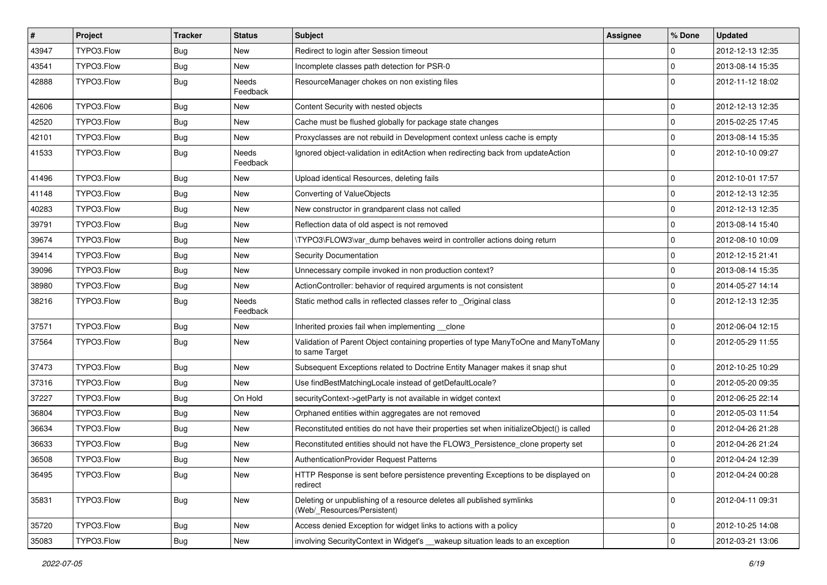| $\vert$ # | Project    | Tracker    | <b>Status</b>            | Subject                                                                                              | <b>Assignee</b> | % Done      | <b>Updated</b>   |
|-----------|------------|------------|--------------------------|------------------------------------------------------------------------------------------------------|-----------------|-------------|------------------|
| 43947     | TYPO3.Flow | <b>Bug</b> | New                      | Redirect to login after Session timeout                                                              |                 | $\mathbf 0$ | 2012-12-13 12:35 |
| 43541     | TYPO3.Flow | <b>Bug</b> | New                      | Incomplete classes path detection for PSR-0                                                          |                 | $\Omega$    | 2013-08-14 15:35 |
| 42888     | TYPO3.Flow | Bug        | Needs<br>Feedback        | ResourceManager chokes on non existing files                                                         |                 | $\Omega$    | 2012-11-12 18:02 |
| 42606     | TYPO3.Flow | Bug        | New                      | Content Security with nested objects                                                                 |                 | $\Omega$    | 2012-12-13 12:35 |
| 42520     | TYPO3.Flow | <b>Bug</b> | New                      | Cache must be flushed globally for package state changes                                             |                 | $\mathbf 0$ | 2015-02-25 17:45 |
| 42101     | TYPO3.Flow | <b>Bug</b> | New                      | Proxyclasses are not rebuild in Development context unless cache is empty                            |                 | $\Omega$    | 2013-08-14 15:35 |
| 41533     | TYPO3.Flow | Bug        | Needs<br>Feedback        | Ignored object-validation in editAction when redirecting back from updateAction                      |                 | l 0         | 2012-10-10 09:27 |
| 41496     | TYPO3.Flow | <b>Bug</b> | New                      | Upload identical Resources, deleting fails                                                           |                 | $\mathbf 0$ | 2012-10-01 17:57 |
| 41148     | TYPO3.Flow | Bug        | New                      | Converting of ValueObjects                                                                           |                 | 0           | 2012-12-13 12:35 |
| 40283     | TYPO3.Flow | <b>Bug</b> | New                      | New constructor in grandparent class not called                                                      |                 | 0           | 2012-12-13 12:35 |
| 39791     | TYPO3.Flow | <b>Bug</b> | New                      | Reflection data of old aspect is not removed                                                         |                 | 0           | 2013-08-14 15:40 |
| 39674     | TYPO3.Flow | <b>Bug</b> | New                      | TYPO3\FLOW3\var dump behaves weird in controller actions doing return                                |                 | $\mathbf 0$ | 2012-08-10 10:09 |
| 39414     | TYPO3.Flow | <b>Bug</b> | New                      | Security Documentation                                                                               |                 | $\Omega$    | 2012-12-15 21:41 |
| 39096     | TYPO3.Flow | Bug        | New                      | Unnecessary compile invoked in non production context?                                               |                 | 0           | 2013-08-14 15:35 |
| 38980     | TYPO3.Flow | <b>Bug</b> | New                      | ActionController: behavior of required arguments is not consistent                                   |                 | 0           | 2014-05-27 14:14 |
| 38216     | TYPO3.Flow | Bug        | <b>Needs</b><br>Feedback | Static method calls in reflected classes refer to _Original class                                    |                 | $\Omega$    | 2012-12-13 12:35 |
| 37571     | TYPO3.Flow | <b>Bug</b> | New                      | Inherited proxies fail when implementing __clone                                                     |                 | 0           | 2012-06-04 12:15 |
| 37564     | TYPO3.Flow | Bug        | New                      | Validation of Parent Object containing properties of type ManyToOne and ManyToMany<br>to same Target |                 | $\Omega$    | 2012-05-29 11:55 |
| 37473     | TYPO3.Flow | <b>Bug</b> | New                      | Subsequent Exceptions related to Doctrine Entity Manager makes it snap shut                          |                 | $\mathbf 0$ | 2012-10-25 10:29 |
| 37316     | TYPO3.Flow | Bug        | New                      | Use findBestMatchingLocale instead of getDefaultLocale?                                              |                 | 0           | 2012-05-20 09:35 |
| 37227     | TYPO3.Flow | <b>Bug</b> | On Hold                  | securityContext->getParty is not available in widget context                                         |                 | $\mathbf 0$ | 2012-06-25 22:14 |
| 36804     | TYPO3.Flow | Bug        | New                      | Orphaned entities within aggregates are not removed                                                  |                 | $\Omega$    | 2012-05-03 11:54 |
| 36634     | TYPO3.Flow | <b>Bug</b> | New                      | Reconstituted entities do not have their properties set when initializeObject() is called            |                 | $\mathbf 0$ | 2012-04-26 21:28 |
| 36633     | TYPO3.Flow | <b>Bug</b> | New                      | Reconstituted entities should not have the FLOW3_Persistence_clone property set                      |                 | $\Omega$    | 2012-04-26 21:24 |
| 36508     | TYPO3.Flow | <b>Bug</b> | New                      | <b>AuthenticationProvider Request Patterns</b>                                                       |                 | $\Omega$    | 2012-04-24 12:39 |
| 36495     | TYPO3.Flow | <b>Bug</b> | New                      | HTTP Response is sent before persistence preventing Exceptions to be displayed on<br>redirect        |                 | l 0         | 2012-04-24 00:28 |
| 35831     | TYPO3.Flow | Bug        | New                      | Deleting or unpublishing of a resource deletes all published symlinks<br>(Web/ Resources/Persistent) |                 | 0           | 2012-04-11 09:31 |
| 35720     | TYPO3.Flow | <b>Bug</b> | New                      | Access denied Exception for widget links to actions with a policy                                    |                 | 0           | 2012-10-25 14:08 |
| 35083     | TYPO3.Flow | Bug        | New                      | involving SecurityContext in Widget's __ wakeup situation leads to an exception                      |                 | 0           | 2012-03-21 13:06 |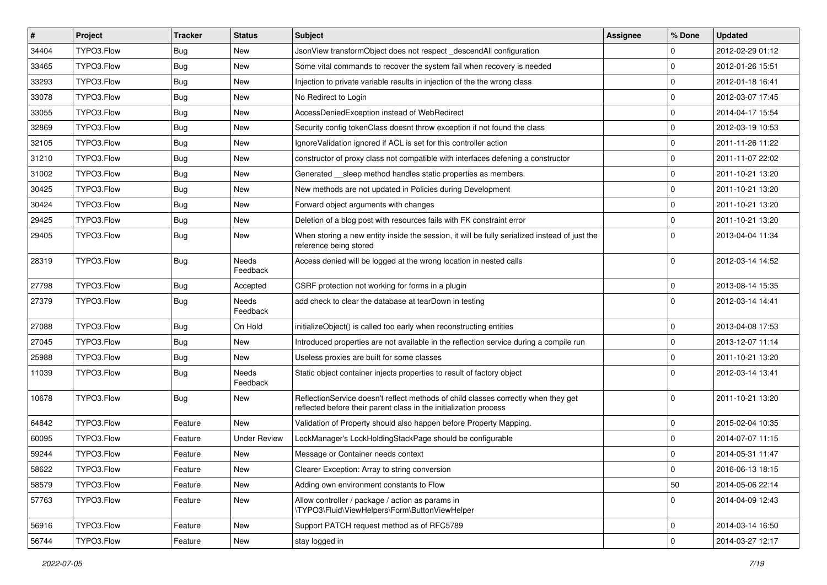| $\pmb{\#}$ | <b>Project</b> | <b>Tracker</b> | <b>Status</b>            | Subject                                                                                                                                                 | <b>Assignee</b> | % Done         | <b>Updated</b>   |
|------------|----------------|----------------|--------------------------|---------------------------------------------------------------------------------------------------------------------------------------------------------|-----------------|----------------|------------------|
| 34404      | TYPO3.Flow     | Bug            | New                      | JsonView transformObject does not respect descendAll configuration                                                                                      |                 | $\Omega$       | 2012-02-29 01:12 |
| 33465      | TYPO3.Flow     | <b>Bug</b>     | <b>New</b>               | Some vital commands to recover the system fail when recovery is needed                                                                                  |                 | $\Omega$       | 2012-01-26 15:51 |
| 33293      | TYPO3.Flow     | Bug            | New                      | Injection to private variable results in injection of the the wrong class                                                                               |                 | l 0            | 2012-01-18 16:41 |
| 33078      | TYPO3.Flow     | Bug            | New                      | No Redirect to Login                                                                                                                                    |                 | $\Omega$       | 2012-03-07 17:45 |
| 33055      | TYPO3.Flow     | <b>Bug</b>     | New                      | AccessDeniedException instead of WebRedirect                                                                                                            |                 | $\Omega$       | 2014-04-17 15:54 |
| 32869      | TYPO3.Flow     | <b>Bug</b>     | New                      | Security config tokenClass doesnt throw exception if not found the class                                                                                |                 | $\mathbf 0$    | 2012-03-19 10:53 |
| 32105      | TYPO3.Flow     | <b>Bug</b>     | New                      | Ignore Validation ignored if ACL is set for this controller action                                                                                      |                 | $\Omega$       | 2011-11-26 11:22 |
| 31210      | TYPO3.Flow     | <b>Bug</b>     | New                      | constructor of proxy class not compatible with interfaces defening a constructor                                                                        |                 | 0              | 2011-11-07 22:02 |
| 31002      | TYPO3.Flow     | <b>Bug</b>     | New                      | Generated __sleep method handles static properties as members.                                                                                          |                 | $\Omega$       | 2011-10-21 13:20 |
| 30425      | TYPO3.Flow     | Bug            | New                      | New methods are not updated in Policies during Development                                                                                              |                 | $\Omega$       | 2011-10-21 13:20 |
| 30424      | TYPO3.Flow     | <b>Bug</b>     | New                      | Forward object arguments with changes                                                                                                                   |                 | $\overline{0}$ | 2011-10-21 13:20 |
| 29425      | TYPO3.Flow     | <b>Bug</b>     | New                      | Deletion of a blog post with resources fails with FK constraint error                                                                                   |                 | $\overline{0}$ | 2011-10-21 13:20 |
| 29405      | TYPO3.Flow     | Bug            | New                      | When storing a new entity inside the session, it will be fully serialized instead of just the<br>reference being stored                                 |                 | $\Omega$       | 2013-04-04 11:34 |
| 28319      | TYPO3.Flow     | <b>Bug</b>     | <b>Needs</b><br>Feedback | Access denied will be logged at the wrong location in nested calls                                                                                      |                 | $\Omega$       | 2012-03-14 14:52 |
| 27798      | TYPO3.Flow     | <b>Bug</b>     | Accepted                 | CSRF protection not working for forms in a plugin                                                                                                       |                 | $\Omega$       | 2013-08-14 15:35 |
| 27379      | TYPO3.Flow     | <b>Bug</b>     | Needs<br>Feedback        | add check to clear the database at tearDown in testing                                                                                                  |                 | $\Omega$       | 2012-03-14 14:41 |
| 27088      | TYPO3.Flow     | <b>Bug</b>     | On Hold                  | initializeObject() is called too early when reconstructing entities                                                                                     |                 | $\mathbf 0$    | 2013-04-08 17:53 |
| 27045      | TYPO3.Flow     | <b>Bug</b>     | <b>New</b>               | Introduced properties are not available in the reflection service during a compile run                                                                  |                 | $\overline{0}$ | 2013-12-07 11:14 |
| 25988      | TYPO3.Flow     | <b>Bug</b>     | New                      | Useless proxies are built for some classes                                                                                                              |                 | $\mathbf 0$    | 2011-10-21 13:20 |
| 11039      | TYPO3.Flow     | <b>Bug</b>     | <b>Needs</b><br>Feedback | Static object container injects properties to result of factory object                                                                                  |                 | $\Omega$       | 2012-03-14 13:41 |
| 10678      | TYPO3.Flow     | Bug            | New                      | ReflectionService doesn't reflect methods of child classes correctly when they get<br>reflected before their parent class in the initialization process |                 | $\Omega$       | 2011-10-21 13:20 |
| 64842      | TYPO3.Flow     | Feature        | <b>New</b>               | Validation of Property should also happen before Property Mapping.                                                                                      |                 | 0              | 2015-02-04 10:35 |
| 60095      | TYPO3.Flow     | Feature        | <b>Under Review</b>      | LockManager's LockHoldingStackPage should be configurable                                                                                               |                 | $\mathbf 0$    | 2014-07-07 11:15 |
| 59244      | TYPO3.Flow     | Feature        | New                      | Message or Container needs context                                                                                                                      |                 | $\Omega$       | 2014-05-31 11:47 |
| 58622      | TYPO3.Flow     | Feature        | New                      | Clearer Exception: Array to string conversion                                                                                                           |                 | l 0            | 2016-06-13 18:15 |
| 58579      | TYPO3.Flow     | Feature        | New                      | Adding own environment constants to Flow                                                                                                                |                 | 50             | 2014-05-06 22:14 |
| 57763      | TYPO3.Flow     | Feature        | New                      | Allow controller / package / action as params in<br>\TYPO3\Fluid\ViewHelpers\Form\ButtonViewHelper                                                      |                 | 0              | 2014-04-09 12:43 |
| 56916      | TYPO3.Flow     | Feature        | New                      | Support PATCH request method as of RFC5789                                                                                                              |                 | 0              | 2014-03-14 16:50 |
| 56744      | TYPO3.Flow     | Feature        | New                      | stay logged in                                                                                                                                          |                 | 0              | 2014-03-27 12:17 |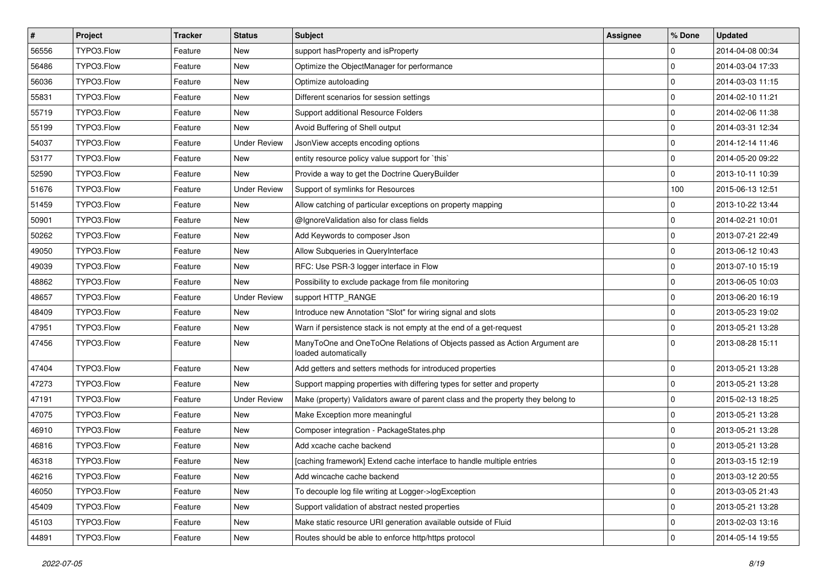| $\sharp$ | Project    | <b>Tracker</b> | <b>Status</b>       | Subject                                                                                           | <b>Assignee</b> | % Done      | <b>Updated</b>   |
|----------|------------|----------------|---------------------|---------------------------------------------------------------------------------------------------|-----------------|-------------|------------------|
| 56556    | TYPO3.Flow | Feature        | New                 | support has Property and is Property                                                              |                 | 0           | 2014-04-08 00:34 |
| 56486    | TYPO3.Flow | Feature        | <b>New</b>          | Optimize the ObjectManager for performance                                                        |                 | 0           | 2014-03-04 17:33 |
| 56036    | TYPO3.Flow | Feature        | New                 | Optimize autoloading                                                                              |                 | 0           | 2014-03-03 11:15 |
| 55831    | TYPO3.Flow | Feature        | New                 | Different scenarios for session settings                                                          |                 | 0           | 2014-02-10 11:21 |
| 55719    | TYPO3.Flow | Feature        | New                 | Support additional Resource Folders                                                               |                 | 0           | 2014-02-06 11:38 |
| 55199    | TYPO3.Flow | Feature        | New                 | Avoid Buffering of Shell output                                                                   |                 | 0           | 2014-03-31 12:34 |
| 54037    | TYPO3.Flow | Feature        | <b>Under Review</b> | JsonView accepts encoding options                                                                 |                 | 0           | 2014-12-14 11:46 |
| 53177    | TYPO3.Flow | Feature        | New                 | entity resource policy value support for `this`                                                   |                 | 0           | 2014-05-20 09:22 |
| 52590    | TYPO3.Flow | Feature        | <b>New</b>          | Provide a way to get the Doctrine QueryBuilder                                                    |                 | $\mathbf 0$ | 2013-10-11 10:39 |
| 51676    | TYPO3.Flow | Feature        | <b>Under Review</b> | Support of symlinks for Resources                                                                 |                 | 100         | 2015-06-13 12:51 |
| 51459    | TYPO3.Flow | Feature        | New                 | Allow catching of particular exceptions on property mapping                                       |                 | 0           | 2013-10-22 13:44 |
| 50901    | TYPO3.Flow | Feature        | New                 | @IgnoreValidation also for class fields                                                           |                 | 0           | 2014-02-21 10:01 |
| 50262    | TYPO3.Flow | Feature        | New                 | Add Keywords to composer Json                                                                     |                 | $\mathbf 0$ | 2013-07-21 22:49 |
| 49050    | TYPO3.Flow | Feature        | New                 | Allow Subqueries in QueryInterface                                                                |                 | 0           | 2013-06-12 10:43 |
| 49039    | TYPO3.Flow | Feature        | New                 | RFC: Use PSR-3 logger interface in Flow                                                           |                 | 0           | 2013-07-10 15:19 |
| 48862    | TYPO3.Flow | Feature        | <b>New</b>          | Possibility to exclude package from file monitoring                                               |                 | 0           | 2013-06-05 10:03 |
| 48657    | TYPO3.Flow | Feature        | <b>Under Review</b> | support HTTP_RANGE                                                                                |                 | 0           | 2013-06-20 16:19 |
| 48409    | TYPO3.Flow | Feature        | <b>New</b>          | Introduce new Annotation "Slot" for wiring signal and slots                                       |                 | $\mathbf 0$ | 2013-05-23 19:02 |
| 47951    | TYPO3.Flow | Feature        | New                 | Warn if persistence stack is not empty at the end of a get-request                                |                 | $\mathbf 0$ | 2013-05-21 13:28 |
| 47456    | TYPO3.Flow | Feature        | New                 | ManyToOne and OneToOne Relations of Objects passed as Action Argument are<br>loaded automatically |                 | $\Omega$    | 2013-08-28 15:11 |
| 47404    | TYPO3.Flow | Feature        | <b>New</b>          | Add getters and setters methods for introduced properties                                         |                 | 0           | 2013-05-21 13:28 |
| 47273    | TYPO3.Flow | Feature        | <b>New</b>          | Support mapping properties with differing types for setter and property                           |                 | 0           | 2013-05-21 13:28 |
| 47191    | TYPO3.Flow | Feature        | <b>Under Review</b> | Make (property) Validators aware of parent class and the property they belong to                  |                 | 0           | 2015-02-13 18:25 |
| 47075    | TYPO3.Flow | Feature        | New                 | Make Exception more meaningful                                                                    |                 | 0           | 2013-05-21 13:28 |
| 46910    | TYPO3.Flow | Feature        | New                 | Composer integration - PackageStates.php                                                          |                 | 0           | 2013-05-21 13:28 |
| 46816    | TYPO3.Flow | Feature        | New                 | Add xcache cache backend                                                                          |                 | 0           | 2013-05-21 13:28 |
| 46318    | TYPO3.Flow | Feature        | New                 | [caching framework] Extend cache interface to handle multiple entries                             |                 | $\mathbf 0$ | 2013-03-15 12:19 |
| 46216    | TYPO3.Flow | Feature        | New                 | Add wincache cache backend                                                                        |                 | $\mathbf 0$ | 2013-03-12 20:55 |
| 46050    | TYPO3.Flow | Feature        | New                 | To decouple log file writing at Logger->logException                                              |                 | 0           | 2013-03-05 21:43 |
| 45409    | TYPO3.Flow | Feature        | New                 | Support validation of abstract nested properties                                                  |                 | 0           | 2013-05-21 13:28 |
| 45103    | TYPO3.Flow | Feature        | New                 | Make static resource URI generation available outside of Fluid                                    |                 | 0           | 2013-02-03 13:16 |
| 44891    | TYPO3.Flow | Feature        | New                 | Routes should be able to enforce http/https protocol                                              |                 | 0           | 2014-05-14 19:55 |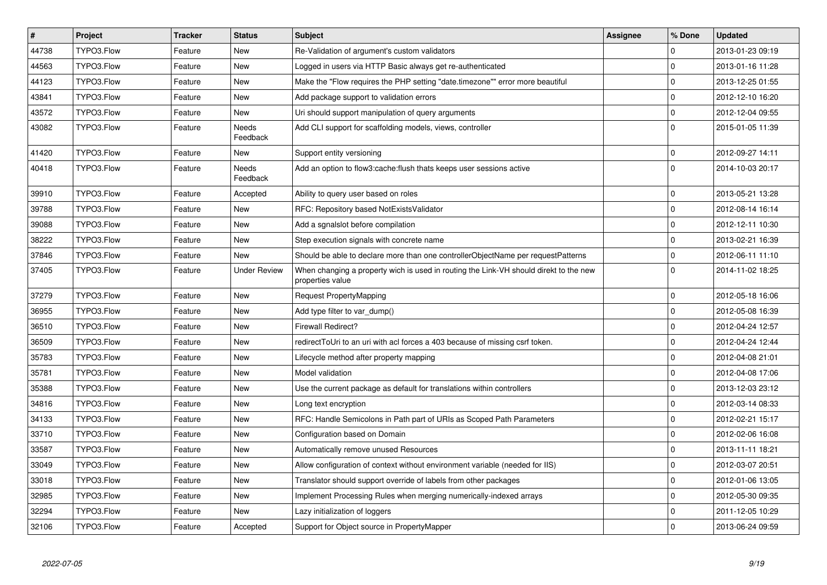| $\vert$ # | Project    | <b>Tracker</b> | <b>Status</b>            | <b>Subject</b>                                                                                            | Assignee | % Done         | <b>Updated</b>   |
|-----------|------------|----------------|--------------------------|-----------------------------------------------------------------------------------------------------------|----------|----------------|------------------|
| 44738     | TYPO3.Flow | Feature        | <b>New</b>               | Re-Validation of argument's custom validators                                                             |          | $\Omega$       | 2013-01-23 09:19 |
| 44563     | TYPO3.Flow | Feature        | <b>New</b>               | Logged in users via HTTP Basic always get re-authenticated                                                |          | $\Omega$       | 2013-01-16 11:28 |
| 44123     | TYPO3.Flow | Feature        | <b>New</b>               | Make the "Flow requires the PHP setting "date.timezone"" error more beautiful                             |          | $\Omega$       | 2013-12-25 01:55 |
| 43841     | TYPO3.Flow | Feature        | <b>New</b>               | Add package support to validation errors                                                                  |          | 0              | 2012-12-10 16:20 |
| 43572     | TYPO3.Flow | Feature        | <b>New</b>               | Uri should support manipulation of query arguments                                                        |          | $\Omega$       | 2012-12-04 09:55 |
| 43082     | TYPO3.Flow | Feature        | <b>Needs</b><br>Feedback | Add CLI support for scaffolding models, views, controller                                                 |          | $\Omega$       | 2015-01-05 11:39 |
| 41420     | TYPO3.Flow | Feature        | New                      | Support entity versioning                                                                                 |          | $\Omega$       | 2012-09-27 14:11 |
| 40418     | TYPO3.Flow | Feature        | Needs<br>Feedback        | Add an option to flow3:cache: flush thats keeps user sessions active                                      |          | $\Omega$       | 2014-10-03 20:17 |
| 39910     | TYPO3.Flow | Feature        | Accepted                 | Ability to query user based on roles                                                                      |          | $\Omega$       | 2013-05-21 13:28 |
| 39788     | TYPO3.Flow | Feature        | <b>New</b>               | RFC: Repository based NotExistsValidator                                                                  |          | $\overline{0}$ | 2012-08-14 16:14 |
| 39088     | TYPO3.Flow | Feature        | <b>New</b>               | Add a sgnalslot before compilation                                                                        |          | $\Omega$       | 2012-12-11 10:30 |
| 38222     | TYPO3.Flow | Feature        | <b>New</b>               | Step execution signals with concrete name                                                                 |          | $\overline{0}$ | 2013-02-21 16:39 |
| 37846     | TYPO3.Flow | Feature        | <b>New</b>               | Should be able to declare more than one controllerObjectName per requestPatterns                          |          | $\Omega$       | 2012-06-11 11:10 |
| 37405     | TYPO3.Flow | Feature        | <b>Under Review</b>      | When changing a property wich is used in routing the Link-VH should direkt to the new<br>properties value |          | $\Omega$       | 2014-11-02 18:25 |
| 37279     | TYPO3.Flow | Feature        | <b>New</b>               | Request PropertyMapping                                                                                   |          | $\Omega$       | 2012-05-18 16:06 |
| 36955     | TYPO3.Flow | Feature        | <b>New</b>               | Add type filter to var_dump()                                                                             |          | $\Omega$       | 2012-05-08 16:39 |
| 36510     | TYPO3.Flow | Feature        | <b>New</b>               | <b>Firewall Redirect?</b>                                                                                 |          | $\Omega$       | 2012-04-24 12:57 |
| 36509     | TYPO3.Flow | Feature        | <b>New</b>               | redirectToUri to an uri with acl forces a 403 because of missing csrf token.                              |          | $\Omega$       | 2012-04-24 12:44 |
| 35783     | TYPO3.Flow | Feature        | <b>New</b>               | Lifecycle method after property mapping                                                                   |          | $\Omega$       | 2012-04-08 21:01 |
| 35781     | TYPO3.Flow | Feature        | <b>New</b>               | Model validation                                                                                          |          | $\Omega$       | 2012-04-08 17:06 |
| 35388     | TYPO3.Flow | Feature        | <b>New</b>               | Use the current package as default for translations within controllers                                    |          | 0              | 2013-12-03 23:12 |
| 34816     | TYPO3.Flow | Feature        | <b>New</b>               | Long text encryption                                                                                      |          | $\mathbf 0$    | 2012-03-14 08:33 |
| 34133     | TYPO3.Flow | Feature        | <b>New</b>               | RFC: Handle Semicolons in Path part of URIs as Scoped Path Parameters                                     |          | 0              | 2012-02-21 15:17 |
| 33710     | TYPO3.Flow | Feature        | <b>New</b>               | Configuration based on Domain                                                                             |          | $\Omega$       | 2012-02-06 16:08 |
| 33587     | TYPO3.Flow | Feature        | <b>New</b>               | Automatically remove unused Resources                                                                     |          | $\overline{0}$ | 2013-11-11 18:21 |
| 33049     | TYPO3.Flow | Feature        | New                      | Allow configuration of context without environment variable (needed for IIS)                              |          | $\mathbf 0$    | 2012-03-07 20:51 |
| 33018     | TYPO3.Flow | Feature        | <b>New</b>               | Translator should support override of labels from other packages                                          |          | $\Omega$       | 2012-01-06 13:05 |
| 32985     | TYPO3.Flow | Feature        | <b>New</b>               | Implement Processing Rules when merging numerically-indexed arrays                                        |          | $\Omega$       | 2012-05-30 09:35 |
| 32294     | TYPO3.Flow | Feature        | <b>New</b>               | Lazy initialization of loggers                                                                            |          | $\overline{0}$ | 2011-12-05 10:29 |
| 32106     | TYPO3.Flow | Feature        | Accepted                 | Support for Object source in PropertyMapper                                                               |          | $\Omega$       | 2013-06-24 09:59 |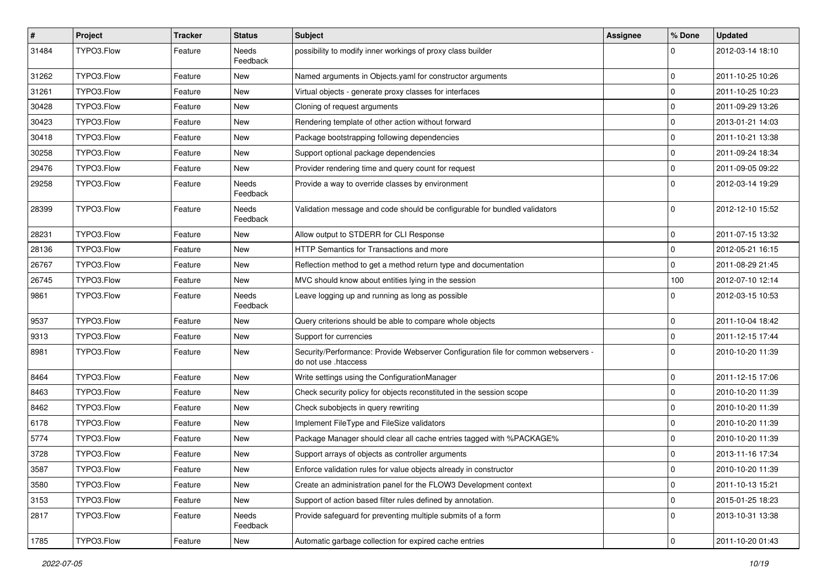| $\vert$ # | Project    | <b>Tracker</b> | <b>Status</b>     | Subject                                                                                                    | Assignee | % Done      | <b>Updated</b>   |
|-----------|------------|----------------|-------------------|------------------------------------------------------------------------------------------------------------|----------|-------------|------------------|
| 31484     | TYPO3.Flow | Feature        | Needs<br>Feedback | possibility to modify inner workings of proxy class builder                                                |          | $\Omega$    | 2012-03-14 18:10 |
| 31262     | TYPO3.Flow | Feature        | New               | Named arguments in Objects.yaml for constructor arguments                                                  |          | $\mathbf 0$ | 2011-10-25 10:26 |
| 31261     | TYPO3.Flow | Feature        | New               | Virtual objects - generate proxy classes for interfaces                                                    |          | $\mathbf 0$ | 2011-10-25 10:23 |
| 30428     | TYPO3.Flow | Feature        | New               | Cloning of request arguments                                                                               |          | $\mathbf 0$ | 2011-09-29 13:26 |
| 30423     | TYPO3.Flow | Feature        | New               | Rendering template of other action without forward                                                         |          | $\mathbf 0$ | 2013-01-21 14:03 |
| 30418     | TYPO3.Flow | Feature        | New               | Package bootstrapping following dependencies                                                               |          | $\mathbf 0$ | 2011-10-21 13:38 |
| 30258     | TYPO3.Flow | Feature        | New               | Support optional package dependencies                                                                      |          | $\mathbf 0$ | 2011-09-24 18:34 |
| 29476     | TYPO3.Flow | Feature        | New               | Provider rendering time and query count for request                                                        |          | $\mathbf 0$ | 2011-09-05 09:22 |
| 29258     | TYPO3.Flow | Feature        | Needs<br>Feedback | Provide a way to override classes by environment                                                           |          | $\Omega$    | 2012-03-14 19:29 |
| 28399     | TYPO3.Flow | Feature        | Needs<br>Feedback | Validation message and code should be configurable for bundled validators                                  |          | $\Omega$    | 2012-12-10 15:52 |
| 28231     | TYPO3.Flow | Feature        | New               | Allow output to STDERR for CLI Response                                                                    |          | $\mathbf 0$ | 2011-07-15 13:32 |
| 28136     | TYPO3.Flow | Feature        | New               | <b>HTTP Semantics for Transactions and more</b>                                                            |          | $\mathbf 0$ | 2012-05-21 16:15 |
| 26767     | TYPO3.Flow | Feature        | New               | Reflection method to get a method return type and documentation                                            |          | $\mathbf 0$ | 2011-08-29 21:45 |
| 26745     | TYPO3.Flow | Feature        | New               | MVC should know about entities lying in the session                                                        |          | 100         | 2012-07-10 12:14 |
| 9861      | TYPO3.Flow | Feature        | Needs<br>Feedback | Leave logging up and running as long as possible                                                           |          | $\Omega$    | 2012-03-15 10:53 |
| 9537      | TYPO3.Flow | Feature        | New               | Query criterions should be able to compare whole objects                                                   |          | $\mathbf 0$ | 2011-10-04 18:42 |
| 9313      | TYPO3.Flow | Feature        | New               | Support for currencies                                                                                     |          | $\mathbf 0$ | 2011-12-15 17:44 |
| 8981      | TYPO3.Flow | Feature        | New               | Security/Performance: Provide Webserver Configuration file for common webservers -<br>do not use .htaccess |          | $\Omega$    | 2010-10-20 11:39 |
| 8464      | TYPO3.Flow | Feature        | New               | Write settings using the ConfigurationManager                                                              |          | $\mathbf 0$ | 2011-12-15 17:06 |
| 8463      | TYPO3.Flow | Feature        | New               | Check security policy for objects reconstituted in the session scope                                       |          | $\mathbf 0$ | 2010-10-20 11:39 |
| 8462      | TYPO3.Flow | Feature        | New               | Check subobjects in query rewriting                                                                        |          | $\mathbf 0$ | 2010-10-20 11:39 |
| 6178      | TYPO3.Flow | Feature        | New               | Implement FileType and FileSize validators                                                                 |          | $\mathbf 0$ | 2010-10-20 11:39 |
| 5774      | TYPO3.Flow | Feature        | New               | Package Manager should clear all cache entries tagged with %PACKAGE%                                       |          | $\Omega$    | 2010-10-20 11:39 |
| 3728      | TYPO3.Flow | Feature        | New               | Support arrays of objects as controller arguments                                                          |          | $\mathbf 0$ | 2013-11-16 17:34 |
| 3587      | TYPO3.Flow | Feature        | New               | Enforce validation rules for value objects already in constructor                                          |          | U           | 2010-10-20 11:39 |
| 3580      | TYPO3.Flow | Feature        | New               | Create an administration panel for the FLOW3 Development context                                           |          | $\pmb{0}$   | 2011-10-13 15:21 |
| 3153      | TYPO3.Flow | Feature        | New               | Support of action based filter rules defined by annotation.                                                |          | $\mathsf 0$ | 2015-01-25 18:23 |
| 2817      | TYPO3.Flow | Feature        | Needs<br>Feedback | Provide safeguard for preventing multiple submits of a form                                                |          | $\mathbf 0$ | 2013-10-31 13:38 |
| 1785      | TYPO3.Flow | Feature        | New               | Automatic garbage collection for expired cache entries                                                     |          | $\mathsf 0$ | 2011-10-20 01:43 |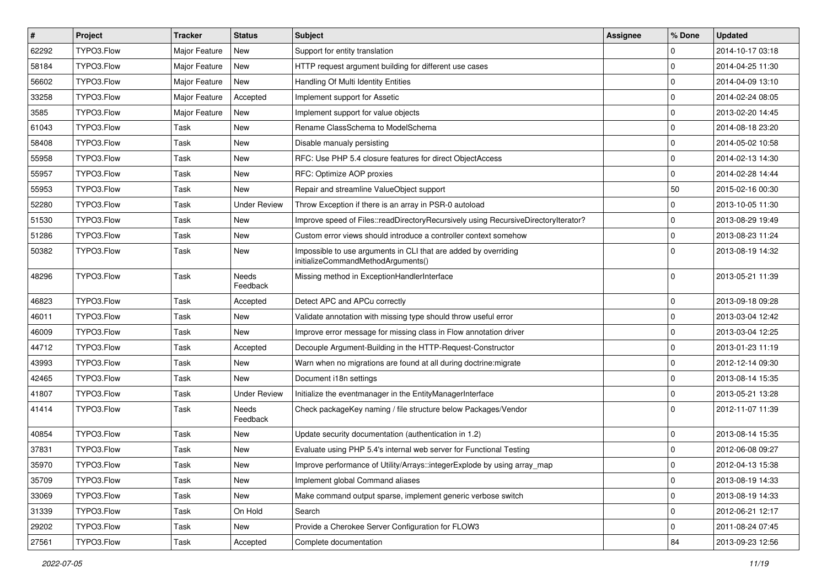| $\sharp$ | Project    | <b>Tracker</b> | <b>Status</b>       | Subject                                                                                               | <b>Assignee</b> | % Done      | <b>Updated</b>   |
|----------|------------|----------------|---------------------|-------------------------------------------------------------------------------------------------------|-----------------|-------------|------------------|
| 62292    | TYPO3.Flow | Major Feature  | New                 | Support for entity translation                                                                        |                 | 0           | 2014-10-17 03:18 |
| 58184    | TYPO3.Flow | Major Feature  | <b>New</b>          | HTTP request argument building for different use cases                                                |                 | 0           | 2014-04-25 11:30 |
| 56602    | TYPO3.Flow | Major Feature  | <b>New</b>          | Handling Of Multi Identity Entities                                                                   |                 | 0           | 2014-04-09 13:10 |
| 33258    | TYPO3.Flow | Major Feature  | Accepted            | Implement support for Assetic                                                                         |                 | 0           | 2014-02-24 08:05 |
| 3585     | TYPO3.Flow | Major Feature  | <b>New</b>          | Implement support for value objects                                                                   |                 | 0           | 2013-02-20 14:45 |
| 61043    | TYPO3.Flow | Task           | New                 | Rename ClassSchema to ModelSchema                                                                     |                 | 0           | 2014-08-18 23:20 |
| 58408    | TYPO3.Flow | Task           | New                 | Disable manualy persisting                                                                            |                 | 0           | 2014-05-02 10:58 |
| 55958    | TYPO3.Flow | Task           | New                 | RFC: Use PHP 5.4 closure features for direct ObjectAccess                                             |                 | 0           | 2014-02-13 14:30 |
| 55957    | TYPO3.Flow | Task           | New                 | RFC: Optimize AOP proxies                                                                             |                 | 0           | 2014-02-28 14:44 |
| 55953    | TYPO3.Flow | Task           | New                 | Repair and streamline ValueObject support                                                             |                 | 50          | 2015-02-16 00:30 |
| 52280    | TYPO3.Flow | Task           | <b>Under Review</b> | Throw Exception if there is an array in PSR-0 autoload                                                |                 | 0           | 2013-10-05 11:30 |
| 51530    | TYPO3.Flow | Task           | <b>New</b>          | Improve speed of Files::readDirectoryRecursively using RecursiveDirectoryIterator?                    |                 | 0           | 2013-08-29 19:49 |
| 51286    | TYPO3.Flow | Task           | New                 | Custom error views should introduce a controller context somehow                                      |                 | $\mathbf 0$ | 2013-08-23 11:24 |
| 50382    | TYPO3.Flow | Task           | New                 | Impossible to use arguments in CLI that are added by overriding<br>initializeCommandMethodArguments() |                 | $\Omega$    | 2013-08-19 14:32 |
| 48296    | TYPO3.Flow | Task           | Needs<br>Feedback   | Missing method in ExceptionHandlerInterface                                                           |                 | $\mathbf 0$ | 2013-05-21 11:39 |
| 46823    | TYPO3.Flow | Task           | Accepted            | Detect APC and APCu correctly                                                                         |                 | 0           | 2013-09-18 09:28 |
| 46011    | TYPO3.Flow | Task           | New                 | Validate annotation with missing type should throw useful error                                       |                 | 0           | 2013-03-04 12:42 |
| 46009    | TYPO3.Flow | Task           | New                 | Improve error message for missing class in Flow annotation driver                                     |                 | 0           | 2013-03-04 12:25 |
| 44712    | TYPO3.Flow | Task           | Accepted            | Decouple Argument-Building in the HTTP-Request-Constructor                                            |                 | $\mathbf 0$ | 2013-01-23 11:19 |
| 43993    | TYPO3.Flow | Task           | New                 | Warn when no migrations are found at all during doctrine: migrate                                     |                 | $\mathbf 0$ | 2012-12-14 09:30 |
| 42465    | TYPO3.Flow | Task           | New                 | Document i18n settings                                                                                |                 | 0           | 2013-08-14 15:35 |
| 41807    | TYPO3.Flow | Task           | <b>Under Review</b> | Initialize the eventmanager in the EntityManagerInterface                                             |                 | 0           | 2013-05-21 13:28 |
| 41414    | TYPO3.Flow | Task           | Needs<br>Feedback   | Check packageKey naming / file structure below Packages/Vendor                                        |                 | $\Omega$    | 2012-11-07 11:39 |
| 40854    | TYPO3.Flow | Task           | New                 | Update security documentation (authentication in 1.2)                                                 |                 | $\mathbf 0$ | 2013-08-14 15:35 |
| 37831    | TYPO3.Flow | Task           | New                 | Evaluate using PHP 5.4's internal web server for Functional Testing                                   |                 | 0           | 2012-06-08 09:27 |
| 35970    | TYPO3.Flow | Task           | New                 | Improve performance of Utility/Arrays::integerExplode by using array_map                              |                 | 0           | 2012-04-13 15:38 |
| 35709    | TYPO3.Flow | Task           | New                 | Implement global Command aliases                                                                      |                 | $\mathbf 0$ | 2013-08-19 14:33 |
| 33069    | TYPO3.Flow | Task           | New                 | Make command output sparse, implement generic verbose switch                                          |                 | $\mathbf 0$ | 2013-08-19 14:33 |
| 31339    | TYPO3.Flow | Task           | On Hold             | Search                                                                                                |                 | $\mathbf 0$ | 2012-06-21 12:17 |
| 29202    | TYPO3.Flow | Task           | New                 | Provide a Cherokee Server Configuration for FLOW3                                                     |                 | $\mathbf 0$ | 2011-08-24 07:45 |
| 27561    | TYPO3.Flow | Task           | Accepted            | Complete documentation                                                                                |                 | 84          | 2013-09-23 12:56 |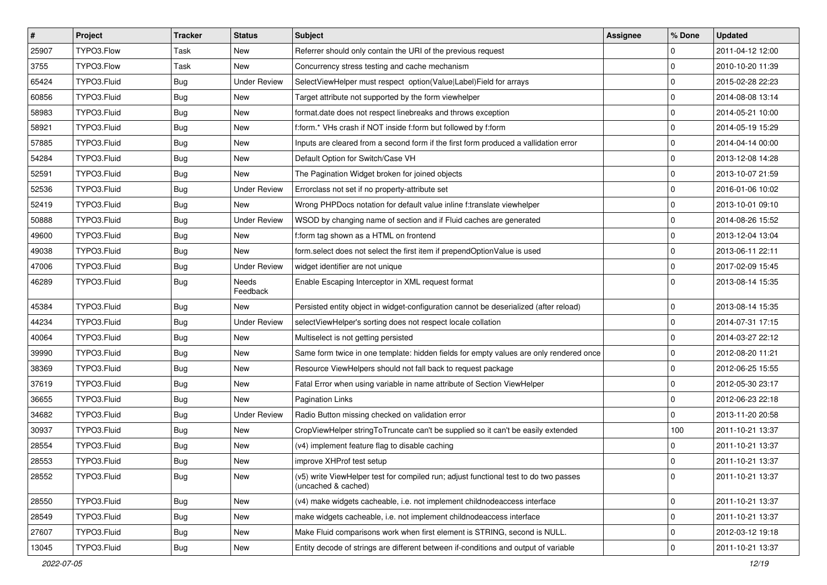| $\vert$ # | Project     | <b>Tracker</b> | <b>Status</b>       | Subject                                                                                                     | <b>Assignee</b> | % Done      | <b>Updated</b>   |
|-----------|-------------|----------------|---------------------|-------------------------------------------------------------------------------------------------------------|-----------------|-------------|------------------|
| 25907     | TYPO3.Flow  | Task           | New                 | Referrer should only contain the URI of the previous request                                                |                 | $\mathbf 0$ | 2011-04-12 12:00 |
| 3755      | TYPO3.Flow  | Task           | <b>New</b>          | Concurrency stress testing and cache mechanism                                                              |                 | $\mathbf 0$ | 2010-10-20 11:39 |
| 65424     | TYPO3.Fluid | Bug            | <b>Under Review</b> | SelectViewHelper must respect option(Value Label)Field for arrays                                           |                 | $\mathbf 0$ | 2015-02-28 22:23 |
| 60856     | TYPO3.Fluid | <b>Bug</b>     | New                 | Target attribute not supported by the form viewhelper                                                       |                 | $\mathbf 0$ | 2014-08-08 13:14 |
| 58983     | TYPO3.Fluid | Bug            | New                 | format.date does not respect linebreaks and throws exception                                                |                 | $\mathbf 0$ | 2014-05-21 10:00 |
| 58921     | TYPO3.Fluid | <b>Bug</b>     | New                 | f:form.* VHs crash if NOT inside f:form but followed by f:form                                              |                 | $\mathbf 0$ | 2014-05-19 15:29 |
| 57885     | TYPO3.Fluid | <b>Bug</b>     | New                 | Inputs are cleared from a second form if the first form produced a vallidation error                        |                 | $\mathbf 0$ | 2014-04-14 00:00 |
| 54284     | TYPO3.Fluid | Bug            | New                 | Default Option for Switch/Case VH                                                                           |                 | $\mathbf 0$ | 2013-12-08 14:28 |
| 52591     | TYPO3.Fluid | <b>Bug</b>     | New                 | The Pagination Widget broken for joined objects                                                             |                 | $\mathbf 0$ | 2013-10-07 21:59 |
| 52536     | TYPO3.Fluid | Bug            | <b>Under Review</b> | Errorclass not set if no property-attribute set                                                             |                 | $\mathbf 0$ | 2016-01-06 10:02 |
| 52419     | TYPO3.Fluid | <b>Bug</b>     | New                 | Wrong PHPDocs notation for default value inline f:translate viewhelper                                      |                 | $\mathbf 0$ | 2013-10-01 09:10 |
| 50888     | TYPO3.Fluid | <b>Bug</b>     | <b>Under Review</b> | WSOD by changing name of section and if Fluid caches are generated                                          |                 | $\mathbf 0$ | 2014-08-26 15:52 |
| 49600     | TYPO3.Fluid | Bug            | New                 | f:form tag shown as a HTML on frontend                                                                      |                 | $\mathbf 0$ | 2013-12-04 13:04 |
| 49038     | TYPO3.Fluid | <b>Bug</b>     | New                 | form.select does not select the first item if prependOptionValue is used                                    |                 | $\mathbf 0$ | 2013-06-11 22:11 |
| 47006     | TYPO3.Fluid | <b>Bug</b>     | <b>Under Review</b> | widget identifier are not unique                                                                            |                 | $\mathbf 0$ | 2017-02-09 15:45 |
| 46289     | TYPO3.Fluid | Bug            | Needs<br>Feedback   | Enable Escaping Interceptor in XML request format                                                           |                 | $\Omega$    | 2013-08-14 15:35 |
| 45384     | TYPO3.Fluid | Bug            | New                 | Persisted entity object in widget-configuration cannot be deserialized (after reload)                       |                 | $\mathbf 0$ | 2013-08-14 15:35 |
| 44234     | TYPO3.Fluid | <b>Bug</b>     | <b>Under Review</b> | selectViewHelper's sorting does not respect locale collation                                                |                 | $\mathbf 0$ | 2014-07-31 17:15 |
| 40064     | TYPO3.Fluid | <b>Bug</b>     | New                 | Multiselect is not getting persisted                                                                        |                 | $\mathbf 0$ | 2014-03-27 22:12 |
| 39990     | TYPO3.Fluid | Bug            | New                 | Same form twice in one template: hidden fields for empty values are only rendered once                      |                 | 0           | 2012-08-20 11:21 |
| 38369     | TYPO3.Fluid | <b>Bug</b>     | New                 | Resource ViewHelpers should not fall back to request package                                                |                 | $\mathbf 0$ | 2012-06-25 15:55 |
| 37619     | TYPO3.Fluid | <b>Bug</b>     | New                 | Fatal Error when using variable in name attribute of Section ViewHelper                                     |                 | $\mathbf 0$ | 2012-05-30 23:17 |
| 36655     | TYPO3.Fluid | <b>Bug</b>     | New                 | <b>Pagination Links</b>                                                                                     |                 | $\mathbf 0$ | 2012-06-23 22:18 |
| 34682     | TYPO3.Fluid | <b>Bug</b>     | <b>Under Review</b> | Radio Button missing checked on validation error                                                            |                 | $\mathbf 0$ | 2013-11-20 20:58 |
| 30937     | TYPO3.Fluid | <b>Bug</b>     | New                 | CropViewHelper stringToTruncate can't be supplied so it can't be easily extended                            |                 | 100         | 2011-10-21 13:37 |
| 28554     | TYPO3.Fluid | <b>Bug</b>     | New                 | (v4) implement feature flag to disable caching                                                              |                 | $\mathbf 0$ | 2011-10-21 13:37 |
| 28553     | TYPO3.Fluid | <b>Bug</b>     | New                 | improve XHProf test setup                                                                                   |                 | $\mathbf 0$ | 2011-10-21 13:37 |
| 28552     | TYPO3.Fluid | Bug            | New                 | (v5) write ViewHelper test for compiled run; adjust functional test to do two passes<br>(uncached & cached) |                 | $\mathbf 0$ | 2011-10-21 13:37 |
| 28550     | TYPO3.Fluid | Bug            | New                 | (v4) make widgets cacheable, i.e. not implement childnodeaccess interface                                   |                 | $\mathbf 0$ | 2011-10-21 13:37 |
| 28549     | TYPO3.Fluid | <b>Bug</b>     | New                 | make widgets cacheable, i.e. not implement childnodeaccess interface                                        |                 | $\mathbf 0$ | 2011-10-21 13:37 |
| 27607     | TYPO3.Fluid | <b>Bug</b>     | New                 | Make Fluid comparisons work when first element is STRING, second is NULL.                                   |                 | $\mathbf 0$ | 2012-03-12 19:18 |
| 13045     | TYPO3.Fluid | Bug            | New                 | Entity decode of strings are different between if-conditions and output of variable                         |                 | $\mathsf 0$ | 2011-10-21 13:37 |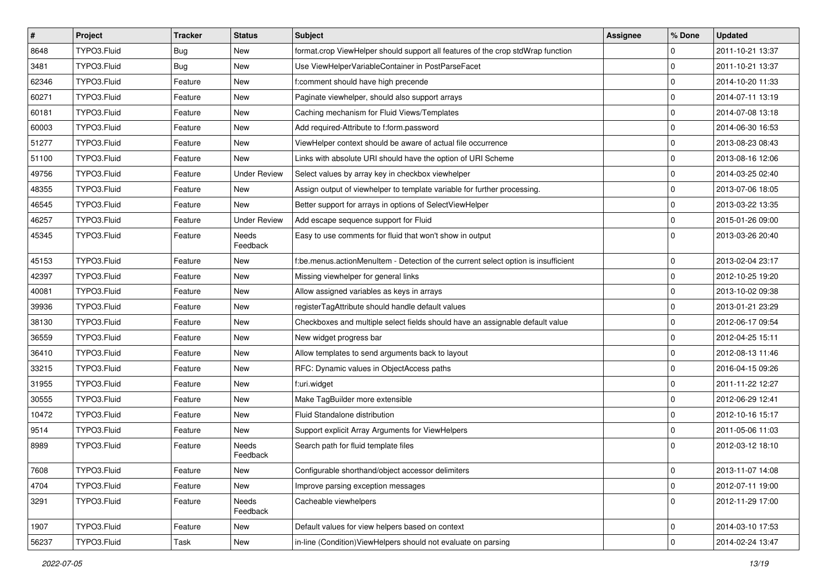| $\vert$ # | Project     | <b>Tracker</b> | <b>Status</b>       | Subject                                                                            | <b>Assignee</b> | % Done      | <b>Updated</b>   |
|-----------|-------------|----------------|---------------------|------------------------------------------------------------------------------------|-----------------|-------------|------------------|
| 8648      | TYPO3.Fluid | Bug            | New                 | format.crop ViewHelper should support all features of the crop stdWrap function    |                 | 0           | 2011-10-21 13:37 |
| 3481      | TYPO3.Fluid | Bug            | <b>New</b>          | Use ViewHelperVariableContainer in PostParseFacet                                  |                 | $\mathbf 0$ | 2011-10-21 13:37 |
| 62346     | TYPO3.Fluid | Feature        | New                 | f:comment should have high precende                                                |                 | 0           | 2014-10-20 11:33 |
| 60271     | TYPO3.Fluid | Feature        | New                 | Paginate viewhelper, should also support arrays                                    |                 | 0           | 2014-07-11 13:19 |
| 60181     | TYPO3.Fluid | Feature        | New                 | Caching mechanism for Fluid Views/Templates                                        |                 | 0           | 2014-07-08 13:18 |
| 60003     | TYPO3.Fluid | Feature        | New                 | Add required-Attribute to f:form.password                                          |                 | 0           | 2014-06-30 16:53 |
| 51277     | TYPO3.Fluid | Feature        | New                 | ViewHelper context should be aware of actual file occurrence                       |                 | 0           | 2013-08-23 08:43 |
| 51100     | TYPO3.Fluid | Feature        | New                 | Links with absolute URI should have the option of URI Scheme                       |                 | 0           | 2013-08-16 12:06 |
| 49756     | TYPO3.Fluid | Feature        | <b>Under Review</b> | Select values by array key in checkbox viewhelper                                  |                 | 0           | 2014-03-25 02:40 |
| 48355     | TYPO3.Fluid | Feature        | New                 | Assign output of viewhelper to template variable for further processing.           |                 | 0           | 2013-07-06 18:05 |
| 46545     | TYPO3.Fluid | Feature        | New                 | Better support for arrays in options of SelectViewHelper                           |                 | $\mathbf 0$ | 2013-03-22 13:35 |
| 46257     | TYPO3.Fluid | Feature        | <b>Under Review</b> | Add escape sequence support for Fluid                                              |                 | 0           | 2015-01-26 09:00 |
| 45345     | TYPO3.Fluid | Feature        | Needs<br>Feedback   | Easy to use comments for fluid that won't show in output                           |                 | $\mathbf 0$ | 2013-03-26 20:40 |
| 45153     | TYPO3.Fluid | Feature        | <b>New</b>          | f:be.menus.actionMenuItem - Detection of the current select option is insufficient |                 | $\mathbf 0$ | 2013-02-04 23:17 |
| 42397     | TYPO3.Fluid | Feature        | New                 | Missing viewhelper for general links                                               |                 | 0           | 2012-10-25 19:20 |
| 40081     | TYPO3.Fluid | Feature        | New                 | Allow assigned variables as keys in arrays                                         |                 | 0           | 2013-10-02 09:38 |
| 39936     | TYPO3.Fluid | Feature        | <b>New</b>          | registerTagAttribute should handle default values                                  |                 | 0           | 2013-01-21 23:29 |
| 38130     | TYPO3.Fluid | Feature        | New                 | Checkboxes and multiple select fields should have an assignable default value      |                 | $\mathbf 0$ | 2012-06-17 09:54 |
| 36559     | TYPO3.Fluid | Feature        | <b>New</b>          | New widget progress bar                                                            |                 | 0           | 2012-04-25 15:11 |
| 36410     | TYPO3.Fluid | Feature        | New                 | Allow templates to send arguments back to layout                                   |                 | 0           | 2012-08-13 11:46 |
| 33215     | TYPO3.Fluid | Feature        | <b>New</b>          | RFC: Dynamic values in ObjectAccess paths                                          |                 | 0           | 2016-04-15 09:26 |
| 31955     | TYPO3.Fluid | Feature        | <b>New</b>          | f:uri.widget                                                                       |                 | 0           | 2011-11-22 12:27 |
| 30555     | TYPO3.Fluid | Feature        | New                 | Make TagBuilder more extensible                                                    |                 | 0           | 2012-06-29 12:41 |
| 10472     | TYPO3.Fluid | Feature        | New                 | Fluid Standalone distribution                                                      |                 | 0           | 2012-10-16 15:17 |
| 9514      | TYPO3.Fluid | Feature        | New                 | Support explicit Array Arguments for ViewHelpers                                   |                 | 0           | 2011-05-06 11:03 |
| 8989      | TYPO3.Fluid | Feature        | Needs<br>Feedback   | Search path for fluid template files                                               |                 | $\Omega$    | 2012-03-12 18:10 |
| 7608      | TYPO3.Fluid | Feature        | New                 | Configurable shorthand/object accessor delimiters                                  |                 | $\pmb{0}$   | 2013-11-07 14:08 |
| 4704      | TYPO3.Fluid | Feature        | New                 | Improve parsing exception messages                                                 |                 | $\mathbf 0$ | 2012-07-11 19:00 |
| 3291      | TYPO3.Fluid | Feature        | Needs<br>Feedback   | Cacheable viewhelpers                                                              |                 | $\mathbf 0$ | 2012-11-29 17:00 |
| 1907      | TYPO3.Fluid | Feature        | New                 | Default values for view helpers based on context                                   |                 | 0           | 2014-03-10 17:53 |
| 56237     | TYPO3.Fluid | Task           | New                 | in-line (Condition) View Helpers should not evaluate on parsing                    |                 | $\mathbf 0$ | 2014-02-24 13:47 |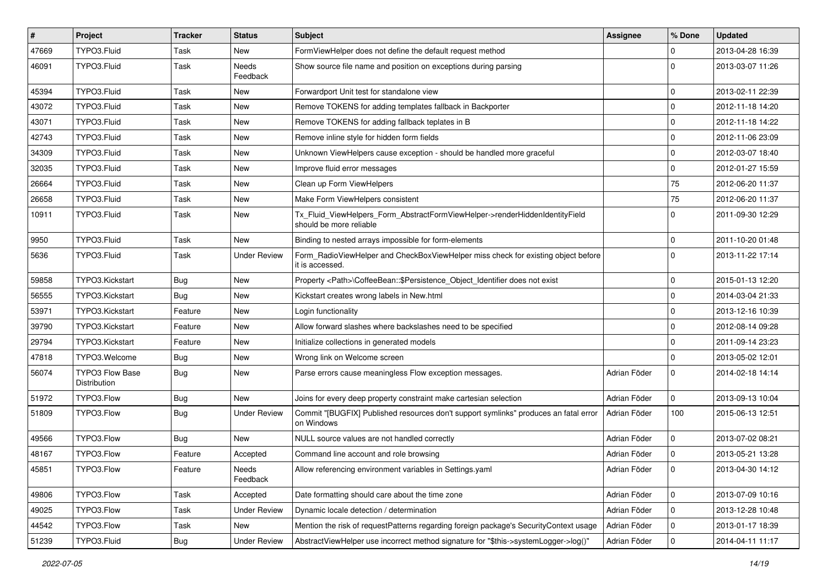| $\vert$ # | Project                                | <b>Tracker</b> | <b>Status</b>       | Subject                                                                                                | Assignee     | % Done      | <b>Updated</b>   |
|-----------|----------------------------------------|----------------|---------------------|--------------------------------------------------------------------------------------------------------|--------------|-------------|------------------|
| 47669     | TYPO3.Fluid                            | Task           | New                 | FormViewHelper does not define the default request method                                              |              | $\Omega$    | 2013-04-28 16:39 |
| 46091     | TYPO3.Fluid                            | Task           | Needs<br>Feedback   | Show source file name and position on exceptions during parsing                                        |              | $\Omega$    | 2013-03-07 11:26 |
| 45394     | TYPO3.Fluid                            | Task           | New                 | Forwardport Unit test for standalone view                                                              |              | $\mathbf 0$ | 2013-02-11 22:39 |
| 43072     | TYPO3.Fluid                            | Task           | New                 | Remove TOKENS for adding templates fallback in Backporter                                              |              | $\Omega$    | 2012-11-18 14:20 |
| 43071     | TYPO3.Fluid                            | Task           | New                 | Remove TOKENS for adding fallback teplates in B                                                        |              | $\mathbf 0$ | 2012-11-18 14:22 |
| 42743     | TYPO3.Fluid                            | Task           | New                 | Remove inline style for hidden form fields                                                             |              | $\mathbf 0$ | 2012-11-06 23:09 |
| 34309     | TYPO3.Fluid                            | Task           | New                 | Unknown ViewHelpers cause exception - should be handled more graceful                                  |              | $\mathbf 0$ | 2012-03-07 18:40 |
| 32035     | TYPO3.Fluid                            | Task           | New                 | Improve fluid error messages                                                                           |              | $\mathbf 0$ | 2012-01-27 15:59 |
| 26664     | TYPO3.Fluid                            | Task           | <b>New</b>          | Clean up Form ViewHelpers                                                                              |              | 75          | 2012-06-20 11:37 |
| 26658     | TYPO3.Fluid                            | Task           | <b>New</b>          | Make Form ViewHelpers consistent                                                                       |              | 75          | 2012-06-20 11:37 |
| 10911     | TYPO3.Fluid                            | Task           | New                 | Tx_Fluid_ViewHelpers_Form_AbstractFormViewHelper->renderHiddenIdentityField<br>should be more reliable |              | $\Omega$    | 2011-09-30 12:29 |
| 9950      | TYPO3.Fluid                            | Task           | New                 | Binding to nested arrays impossible for form-elements                                                  |              | $\Omega$    | 2011-10-20 01:48 |
| 5636      | TYPO3.Fluid                            | Task           | <b>Under Review</b> | Form_RadioViewHelper and CheckBoxViewHelper miss check for existing object before<br>it is accessed.   |              | $\Omega$    | 2013-11-22 17:14 |
| 59858     | TYPO3.Kickstart                        | <b>Bug</b>     | <b>New</b>          | Property <path>\CoffeeBean::\$Persistence_Object_Identifier does not exist</path>                      |              | $\Omega$    | 2015-01-13 12:20 |
| 56555     | TYPO3.Kickstart                        | Bug            | New                 | Kickstart creates wrong labels in New.html                                                             |              | $\Omega$    | 2014-03-04 21:33 |
| 53971     | TYPO3.Kickstart                        | Feature        | New                 | Login functionality                                                                                    |              | $\mathbf 0$ | 2013-12-16 10:39 |
| 39790     | TYPO3.Kickstart                        | Feature        | New                 | Allow forward slashes where backslashes need to be specified                                           |              | $\Omega$    | 2012-08-14 09:28 |
| 29794     | TYPO3.Kickstart                        | Feature        | New                 | Initialize collections in generated models                                                             |              | $\Omega$    | 2011-09-14 23:23 |
| 47818     | TYPO3.Welcome                          | <b>Bug</b>     | New                 | Wrong link on Welcome screen                                                                           |              | $\Omega$    | 2013-05-02 12:01 |
| 56074     | <b>TYPO3 Flow Base</b><br>Distribution | <b>Bug</b>     | New                 | Parse errors cause meaningless Flow exception messages.                                                | Adrian Föder | $\Omega$    | 2014-02-18 14:14 |
| 51972     | TYPO3.Flow                             | <b>Bug</b>     | <b>New</b>          | Joins for every deep property constraint make cartesian selection                                      | Adrian Föder | $\mathbf 0$ | 2013-09-13 10:04 |
| 51809     | TYPO3.Flow                             | Bug            | <b>Under Review</b> | Commit "[BUGFIX] Published resources don't support symlinks" produces an fatal error<br>on Windows     | Adrian Föder | 100         | 2015-06-13 12:51 |
| 49566     | TYPO3.Flow                             | Bug            | New                 | NULL source values are not handled correctly                                                           | Adrian Föder | $\mathbf 0$ | 2013-07-02 08:21 |
| 48167     | TYPO3.Flow                             | Feature        | Accepted            | Command line account and role browsing                                                                 | Adrian Föder | $\mathbf 0$ | 2013-05-21 13:28 |
| 45851     | TYPO3.Flow                             | Feature        | Needs<br>Feedback   | Allow referencing environment variables in Settings.yaml                                               | Adrian Föder | $\mathsf 0$ | 2013-04-30 14:12 |
| 49806     | TYPO3.Flow                             | Task           | Accepted            | Date formatting should care about the time zone                                                        | Adrian Föder | 0           | 2013-07-09 10:16 |
| 49025     | TYPO3.Flow                             | Task           | <b>Under Review</b> | Dynamic locale detection / determination                                                               | Adrian Föder | $\pmb{0}$   | 2013-12-28 10:48 |
| 44542     | TYPO3.Flow                             | Task           | New                 | Mention the risk of requestPatterns regarding foreign package's SecurityContext usage                  | Adrian Föder | 0           | 2013-01-17 18:39 |
| 51239     | TYPO3.Fluid                            | Bug            | <b>Under Review</b> | AbstractViewHelper use incorrect method signature for "\$this->systemLogger->log()"                    | Adrian Föder | $\mathsf 0$ | 2014-04-11 11:17 |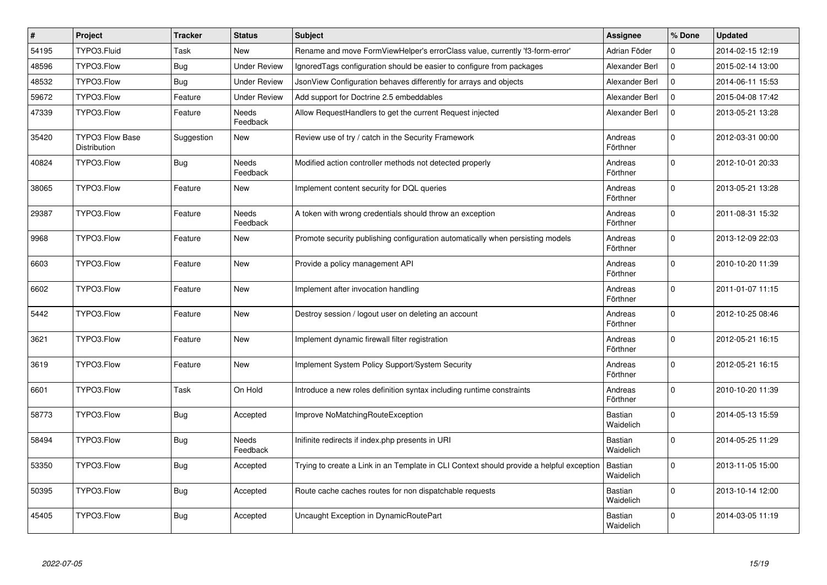| #     | Project                                | <b>Tracker</b> | <b>Status</b>       | <b>Subject</b>                                                                           | Assignee                    | % Done              | <b>Updated</b>   |
|-------|----------------------------------------|----------------|---------------------|------------------------------------------------------------------------------------------|-----------------------------|---------------------|------------------|
| 54195 | TYPO3.Fluid                            | Task           | New                 | Rename and move FormViewHelper's errorClass value, currently 'f3-form-error'             | Adrian Föder                | 0                   | 2014-02-15 12:19 |
| 48596 | TYPO3.Flow                             | Bug            | <b>Under Review</b> | Ignored Tags configuration should be easier to configure from packages                   | Alexander Berl              | $\mathbf 0$         | 2015-02-14 13:00 |
| 48532 | TYPO3.Flow                             | <b>Bug</b>     | <b>Under Review</b> | JsonView Configuration behaves differently for arrays and objects                        | Alexander Berl              | $\mathsf{O}\xspace$ | 2014-06-11 15:53 |
| 59672 | TYPO3.Flow                             | Feature        | <b>Under Review</b> | Add support for Doctrine 2.5 embeddables                                                 | Alexander Berl              | $\mathbf 0$         | 2015-04-08 17:42 |
| 47339 | TYPO3.Flow                             | Feature        | Needs<br>Feedback   | Allow RequestHandlers to get the current Request injected                                | Alexander Berl              | $\mathsf{O}\xspace$ | 2013-05-21 13:28 |
| 35420 | <b>TYPO3 Flow Base</b><br>Distribution | Suggestion     | <b>New</b>          | Review use of try / catch in the Security Framework                                      | Andreas<br>Förthner         | $\pmb{0}$           | 2012-03-31 00:00 |
| 40824 | TYPO3.Flow                             | <b>Bug</b>     | Needs<br>Feedback   | Modified action controller methods not detected properly                                 | Andreas<br>Förthner         | $\Omega$            | 2012-10-01 20:33 |
| 38065 | TYPO3.Flow                             | Feature        | <b>New</b>          | Implement content security for DQL queries                                               | Andreas<br>Förthner         | $\Omega$            | 2013-05-21 13:28 |
| 29387 | TYPO3.Flow                             | Feature        | Needs<br>Feedback   | A token with wrong credentials should throw an exception                                 | Andreas<br>Förthner         | $\Omega$            | 2011-08-31 15:32 |
| 9968  | TYPO3.Flow                             | Feature        | <b>New</b>          | Promote security publishing configuration automatically when persisting models           | Andreas<br>Förthner         | $\mathbf{0}$        | 2013-12-09 22:03 |
| 6603  | TYPO3.Flow                             | Feature        | <b>New</b>          | Provide a policy management API                                                          | Andreas<br>Förthner         | $\Omega$            | 2010-10-20 11:39 |
| 6602  | TYPO3.Flow                             | Feature        | New                 | Implement after invocation handling                                                      | Andreas<br>Förthner         | $\Omega$            | 2011-01-07 11:15 |
| 5442  | TYPO3.Flow                             | Feature        | New                 | Destroy session / logout user on deleting an account                                     | Andreas<br>Förthner         | $\mathbf 0$         | 2012-10-25 08:46 |
| 3621  | TYPO3.Flow                             | Feature        | New                 | Implement dynamic firewall filter registration                                           | Andreas<br>Förthner         | 0                   | 2012-05-21 16:15 |
| 3619  | TYPO3.Flow                             | Feature        | <b>New</b>          | Implement System Policy Support/System Security                                          | Andreas<br>Förthner         | $\Omega$            | 2012-05-21 16:15 |
| 6601  | TYPO3.Flow                             | Task           | On Hold             | Introduce a new roles definition syntax including runtime constraints                    | Andreas<br>Förthner         | $\Omega$            | 2010-10-20 11:39 |
| 58773 | TYPO3.Flow                             | <b>Bug</b>     | Accepted            | Improve NoMatchingRouteException                                                         | <b>Bastian</b><br>Waidelich | $\Omega$            | 2014-05-13 15:59 |
| 58494 | TYPO3.Flow                             | <b>Bug</b>     | Needs<br>Feedback   | Inifinite redirects if index.php presents in URI                                         | <b>Bastian</b><br>Waidelich | $\Omega$            | 2014-05-25 11:29 |
| 53350 | TYPO3.Flow                             | <b>Bug</b>     | Accepted            | Trying to create a Link in an Template in CLI Context should provide a helpful exception | Bastian<br>Waidelich        | $\Omega$            | 2013-11-05 15:00 |
| 50395 | TYPO3.Flow                             | <b>Bug</b>     | Accepted            | Route cache caches routes for non dispatchable requests                                  | <b>Bastian</b><br>Waidelich | $\mathbf 0$         | 2013-10-14 12:00 |
| 45405 | TYPO3.Flow                             | <b>Bug</b>     | Accepted            | Uncaught Exception in DynamicRoutePart                                                   | <b>Bastian</b><br>Waidelich | $\mathbf 0$         | 2014-03-05 11:19 |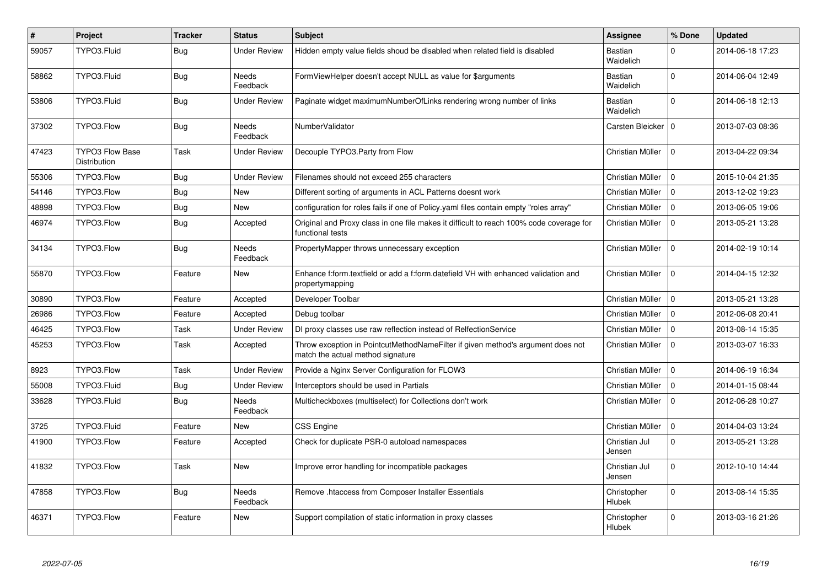| $\vert$ # | Project                                | <b>Tracker</b> | <b>Status</b>            | <b>Subject</b>                                                                                                       | <b>Assignee</b>             | % Done      | <b>Updated</b>   |
|-----------|----------------------------------------|----------------|--------------------------|----------------------------------------------------------------------------------------------------------------------|-----------------------------|-------------|------------------|
| 59057     | TYPO3.Fluid                            | <b>Bug</b>     | <b>Under Review</b>      | Hidden empty value fields shoud be disabled when related field is disabled                                           | <b>Bastian</b><br>Waidelich | $\Omega$    | 2014-06-18 17:23 |
| 58862     | TYPO3.Fluid                            | Bug            | Needs<br>Feedback        | FormViewHelper doesn't accept NULL as value for \$arguments                                                          | Bastian<br>Waidelich        | $\Omega$    | 2014-06-04 12:49 |
| 53806     | TYPO3.Fluid                            | <b>Bug</b>     | Under Review             | Paginate widget maximumNumberOfLinks rendering wrong number of links                                                 | Bastian<br>Waidelich        | $\Omega$    | 2014-06-18 12:13 |
| 37302     | TYPO3.Flow                             | <b>Bug</b>     | Needs<br>Feedback        | NumberValidator                                                                                                      | Carsten Bleicker   0        |             | 2013-07-03 08:36 |
| 47423     | <b>TYPO3 Flow Base</b><br>Distribution | Task           | <b>Under Review</b>      | Decouple TYPO3. Party from Flow                                                                                      | Christian Müller            | $\Omega$    | 2013-04-22 09:34 |
| 55306     | TYPO3.Flow                             | Bug            | <b>Under Review</b>      | Filenames should not exceed 255 characters                                                                           | Christian Müller            | $\Omega$    | 2015-10-04 21:35 |
| 54146     | TYPO3.Flow                             | Bug            | New                      | Different sorting of arguments in ACL Patterns doesnt work                                                           | Christian Müller            | $\Omega$    | 2013-12-02 19:23 |
| 48898     | TYPO3.Flow                             | <b>Bug</b>     | <b>New</b>               | configuration for roles fails if one of Policy yaml files contain empty "roles array"                                | Christian Müller            | $\Omega$    | 2013-06-05 19:06 |
| 46974     | TYPO3.Flow                             | <b>Bug</b>     | Accepted                 | Original and Proxy class in one file makes it difficult to reach 100% code coverage for<br>functional tests          | Christian Müller            | $\Omega$    | 2013-05-21 13:28 |
| 34134     | TYPO3.Flow                             | <b>Bug</b>     | <b>Needs</b><br>Feedback | PropertyMapper throws unnecessary exception                                                                          | Christian Müller            | $\Omega$    | 2014-02-19 10:14 |
| 55870     | TYPO3.Flow                             | Feature        | <b>New</b>               | Enhance f:form.textfield or add a f:form.datefield VH with enhanced validation and<br>propertymapping                | Christian Müller            | $\Omega$    | 2014-04-15 12:32 |
| 30890     | TYPO3.Flow                             | Feature        | Accepted                 | Developer Toolbar                                                                                                    | Christian Müller            | $\Omega$    | 2013-05-21 13:28 |
| 26986     | TYPO3.Flow                             | Feature        | Accepted                 | Debug toolbar                                                                                                        | Christian Müller            | $\mathbf 0$ | 2012-06-08 20:41 |
| 46425     | TYPO3.Flow                             | Task           | <b>Under Review</b>      | DI proxy classes use raw reflection instead of RelfectionService                                                     | Christian Müller            | $\Omega$    | 2013-08-14 15:35 |
| 45253     | TYPO3.Flow                             | Task           | Accepted                 | Throw exception in PointcutMethodNameFilter if given method's argument does not<br>match the actual method signature | Christian Müller            | $\Omega$    | 2013-03-07 16:33 |
| 8923      | TYPO3.Flow                             | Task           | <b>Under Review</b>      | Provide a Nginx Server Configuration for FLOW3                                                                       | Christian Müller            | $\mathbf 0$ | 2014-06-19 16:34 |
| 55008     | TYPO3.Fluid                            | <b>Bug</b>     | <b>Under Review</b>      | Interceptors should be used in Partials                                                                              | Christian Müller            | $\Omega$    | 2014-01-15 08:44 |
| 33628     | TYPO3.Fluid                            | <b>Bug</b>     | Needs<br>Feedback        | Multicheckboxes (multiselect) for Collections don't work                                                             | Christian Müller            | $\mathbf 0$ | 2012-06-28 10:27 |
| 3725      | TYPO3.Fluid                            | Feature        | New                      | CSS Engine                                                                                                           | Christian Müller            | $\mathbf 0$ | 2014-04-03 13:24 |
| 41900     | TYPO3.Flow                             | Feature        | Accepted                 | Check for duplicate PSR-0 autoload namespaces                                                                        | Christian Jul<br>Jensen     | $\Omega$    | 2013-05-21 13:28 |
| 41832     | TYPO3.Flow                             | Task           | <b>New</b>               | Improve error handling for incompatible packages                                                                     | Christian Jul<br>Jensen     | $\Omega$    | 2012-10-10 14:44 |
| 47858     | TYPO3.Flow                             | Bug            | <b>Needs</b><br>Feedback | Remove .htaccess from Composer Installer Essentials                                                                  | Christopher<br>Hlubek       | $\Omega$    | 2013-08-14 15:35 |
| 46371     | TYPO3.Flow                             | Feature        | New                      | Support compilation of static information in proxy classes                                                           | Christopher<br>Hlubek       | $\Omega$    | 2013-03-16 21:26 |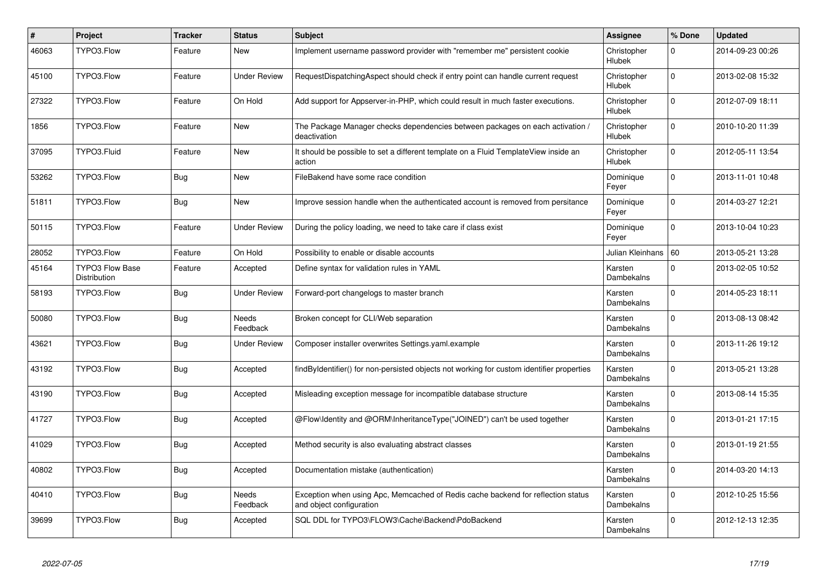| $\vert$ # | Project                                | <b>Tracker</b> | <b>Status</b>       | <b>Subject</b>                                                                                               | Assignee                     | % Done      | <b>Updated</b>   |
|-----------|----------------------------------------|----------------|---------------------|--------------------------------------------------------------------------------------------------------------|------------------------------|-------------|------------------|
| 46063     | TYPO3.Flow                             | Feature        | New                 | Implement username password provider with "remember me" persistent cookie                                    | Christopher<br>Hlubek        | 0           | 2014-09-23 00:26 |
| 45100     | TYPO3.Flow                             | Feature        | Under Review        | RequestDispatchingAspect should check if entry point can handle current request                              | Christopher<br>Hlubek        | $\Omega$    | 2013-02-08 15:32 |
| 27322     | TYPO3.Flow                             | Feature        | On Hold             | Add support for Appserver-in-PHP, which could result in much faster executions.                              | Christopher<br>Hlubek        | $\mathbf 0$ | 2012-07-09 18:11 |
| 1856      | TYPO3.Flow                             | Feature        | <b>New</b>          | The Package Manager checks dependencies between packages on each activation /<br>deactivation                | Christopher<br>Hlubek        | $\mathbf 0$ | 2010-10-20 11:39 |
| 37095     | TYPO3.Fluid                            | Feature        | New                 | It should be possible to set a different template on a Fluid TemplateView inside an<br>action                | Christopher<br>Hlubek        | $\Omega$    | 2012-05-11 13:54 |
| 53262     | TYPO3.Flow                             | Bug            | New                 | FileBakend have some race condition                                                                          | Dominique<br>Feyer           | $\mathbf 0$ | 2013-11-01 10:48 |
| 51811     | TYPO3.Flow                             | <b>Bug</b>     | <b>New</b>          | Improve session handle when the authenticated account is removed from persitance                             | Dominique<br>Feyer           | $\Omega$    | 2014-03-27 12:21 |
| 50115     | TYPO3.Flow                             | Feature        | <b>Under Review</b> | During the policy loading, we need to take care if class exist                                               | Dominique<br>Feyer           | $\mathbf 0$ | 2013-10-04 10:23 |
| 28052     | TYPO3.Flow                             | Feature        | On Hold             | Possibility to enable or disable accounts                                                                    | Julian Kleinhans   60        |             | 2013-05-21 13:28 |
| 45164     | <b>TYPO3 Flow Base</b><br>Distribution | Feature        | Accepted            | Define syntax for validation rules in YAML                                                                   | Karsten<br>Dambekalns        | $\mathbf 0$ | 2013-02-05 10:52 |
| 58193     | TYPO3.Flow                             | <b>Bug</b>     | Under Review        | Forward-port changelogs to master branch                                                                     | Karsten<br>Dambekalns        | $\Omega$    | 2014-05-23 18:11 |
| 50080     | TYPO3.Flow                             | <b>Bug</b>     | Needs<br>Feedback   | Broken concept for CLI/Web separation                                                                        | Karsten<br><b>Dambekalns</b> | $\Omega$    | 2013-08-13 08:42 |
| 43621     | TYPO3.Flow                             | Bug            | Under Review        | Composer installer overwrites Settings.yaml.example                                                          | Karsten<br>Dambekalns        | $\Omega$    | 2013-11-26 19:12 |
| 43192     | TYPO3.Flow                             | <b>Bug</b>     | Accepted            | findByIdentifier() for non-persisted objects not working for custom identifier properties                    | Karsten<br>Dambekalns        | $\Omega$    | 2013-05-21 13:28 |
| 43190     | TYPO3.Flow                             | Bug            | Accepted            | Misleading exception message for incompatible database structure                                             | Karsten<br>Dambekalns        | $\Omega$    | 2013-08-14 15:35 |
| 41727     | TYPO3.Flow                             | <b>Bug</b>     | Accepted            | @Flow\Identity and @ORM\InheritanceType("JOINED") can't be used together                                     | Karsten<br>Dambekalns        | $\Omega$    | 2013-01-21 17:15 |
| 41029     | TYPO3.Flow                             | <b>Bug</b>     | Accepted            | Method security is also evaluating abstract classes                                                          | Karsten<br><b>Dambekalns</b> | $\Omega$    | 2013-01-19 21:55 |
| 40802     | TYPO3.Flow                             | Bug            | Accepted            | Documentation mistake (authentication)                                                                       | Karsten<br>Dambekalns        | $\Omega$    | 2014-03-20 14:13 |
| 40410     | TYPO3.Flow                             | Bug            | Needs<br>Feedback   | Exception when using Apc, Memcached of Redis cache backend for reflection status<br>and object configuration | Karsten<br>Dambekalns        | $\Omega$    | 2012-10-25 15:56 |
| 39699     | TYPO3.Flow                             | Bug            | Accepted            | SQL DDL for TYPO3\FLOW3\Cache\Backend\PdoBackend                                                             | Karsten<br>Dambekalns        | $\Omega$    | 2012-12-13 12:35 |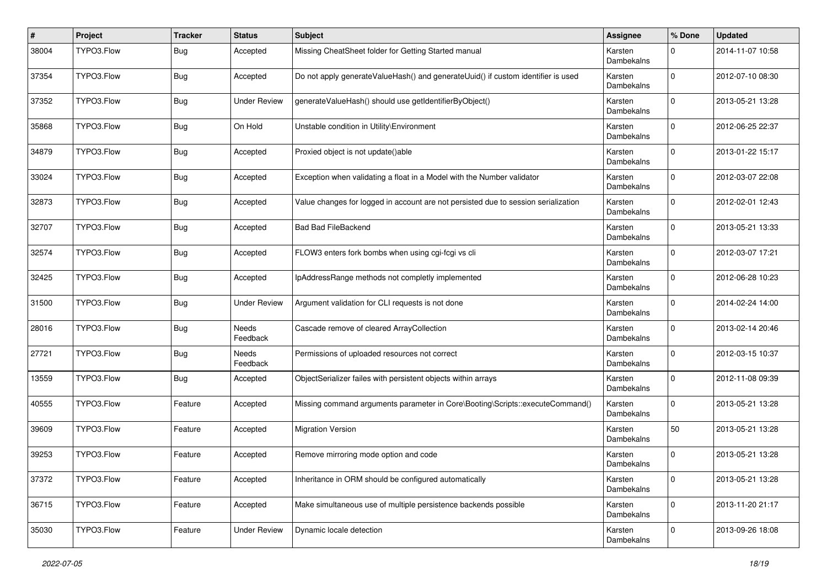| $\vert$ # | Project    | <b>Tracker</b> | <b>Status</b>       | <b>Subject</b>                                                                     | <b>Assignee</b>              | % Done      | <b>Updated</b>   |
|-----------|------------|----------------|---------------------|------------------------------------------------------------------------------------|------------------------------|-------------|------------------|
| 38004     | TYPO3.Flow | <b>Bug</b>     | Accepted            | Missing CheatSheet folder for Getting Started manual                               | Karsten<br>Dambekalns        | 0           | 2014-11-07 10:58 |
| 37354     | TYPO3.Flow | <b>Bug</b>     | Accepted            | Do not apply generateValueHash() and generateUuid() if custom identifier is used   | Karsten<br>Dambekalns        | $\mathbf 0$ | 2012-07-10 08:30 |
| 37352     | TYPO3.Flow | <b>Bug</b>     | <b>Under Review</b> | generateValueHash() should use getIdentifierByObject()                             | Karsten<br>Dambekalns        | $\mathbf 0$ | 2013-05-21 13:28 |
| 35868     | TYPO3.Flow | <b>Bug</b>     | On Hold             | Unstable condition in Utility\Environment                                          | Karsten<br><b>Dambekalns</b> | $\mathbf 0$ | 2012-06-25 22:37 |
| 34879     | TYPO3.Flow | <b>Bug</b>     | Accepted            | Proxied object is not update()able                                                 | Karsten<br>Dambekalns        | $\mathbf 0$ | 2013-01-22 15:17 |
| 33024     | TYPO3.Flow | <b>Bug</b>     | Accepted            | Exception when validating a float in a Model with the Number validator             | Karsten<br>Dambekalns        | 0           | 2012-03-07 22:08 |
| 32873     | TYPO3.Flow | Bug            | Accepted            | Value changes for logged in account are not persisted due to session serialization | Karsten<br>Dambekalns        | $\Omega$    | 2012-02-01 12:43 |
| 32707     | TYPO3.Flow | <b>Bug</b>     | Accepted            | <b>Bad Bad FileBackend</b>                                                         | Karsten<br>Dambekalns        | $\mathbf 0$ | 2013-05-21 13:33 |
| 32574     | TYPO3.Flow | <b>Bug</b>     | Accepted            | FLOW3 enters fork bombs when using cgi-fcgi vs cli                                 | Karsten<br>Dambekalns        | $\mathbf 0$ | 2012-03-07 17:21 |
| 32425     | TYPO3.Flow | <b>Bug</b>     | Accepted            | IpAddressRange methods not completly implemented                                   | Karsten<br>Dambekalns        | $\mathbf 0$ | 2012-06-28 10:23 |
| 31500     | TYPO3.Flow | <b>Bug</b>     | <b>Under Review</b> | Argument validation for CLI requests is not done                                   | Karsten<br>Dambekalns        | $\mathbf 0$ | 2014-02-24 14:00 |
| 28016     | TYPO3.Flow | <b>Bug</b>     | Needs<br>Feedback   | Cascade remove of cleared ArrayCollection                                          | Karsten<br>Dambekalns        | $\mathbf 0$ | 2013-02-14 20:46 |
| 27721     | TYPO3.Flow | <b>Bug</b>     | Needs<br>Feedback   | Permissions of uploaded resources not correct                                      | Karsten<br>Dambekalns        | 0           | 2012-03-15 10:37 |
| 13559     | TYPO3.Flow | <b>Bug</b>     | Accepted            | ObjectSerializer failes with persistent objects within arrays                      | Karsten<br>Dambekalns        | $\mathbf 0$ | 2012-11-08 09:39 |
| 40555     | TYPO3.Flow | Feature        | Accepted            | Missing command arguments parameter in Core\Booting\Scripts::executeCommand()      | Karsten<br>Dambekalns        | $\mathbf 0$ | 2013-05-21 13:28 |
| 39609     | TYPO3.Flow | Feature        | Accepted            | <b>Migration Version</b>                                                           | Karsten<br>Dambekalns        | 50          | 2013-05-21 13:28 |
| 39253     | TYPO3.Flow | Feature        | Accepted            | Remove mirroring mode option and code                                              | Karsten<br>Dambekalns        | $\mathbf 0$ | 2013-05-21 13:28 |
| 37372     | TYPO3.Flow | Feature        | Accepted            | Inheritance in ORM should be configured automatically                              | Karsten<br>Dambekalns        | $\mathbf 0$ | 2013-05-21 13:28 |
| 36715     | TYPO3.Flow | Feature        | Accepted            | Make simultaneous use of multiple persistence backends possible                    | Karsten<br>Dambekalns        | $\mathbf 0$ | 2013-11-20 21:17 |
| 35030     | TYPO3.Flow | Feature        | <b>Under Review</b> | Dynamic locale detection                                                           | Karsten<br>Dambekalns        | $\mathbf 0$ | 2013-09-26 18:08 |